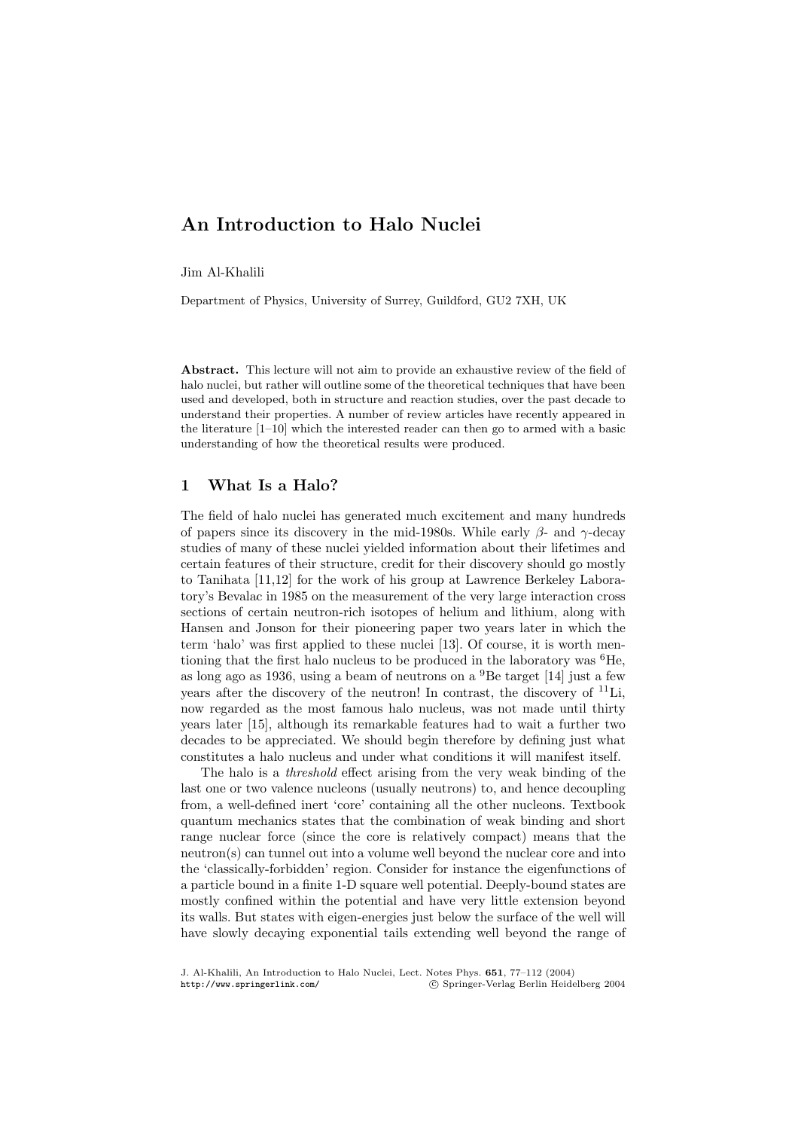# **An Introduction to Halo Nuclei**

Jim Al-Khalili

Department of Physics, University of Surrey, Guildford, GU2 7XH, UK

**Abstract.** This lecture will not aim to provide an exhaustive review of the field of halo nuclei, but rather will outline some of the theoretical techniques that have been used and developed, both in structure and reaction studies, over the past decade to understand their properties. A number of review articles have recently appeared in the literature [1–10] which the interested reader can then go to armed with a basic understanding of how the theoretical results were produced.

## **1 What Is a Halo?**

The field of halo nuclei has generated much excitement and many hundreds of papers since its discovery in the mid-1980s. While early  $\beta$ - and  $\gamma$ -decay studies of many of these nuclei yielded information about their lifetimes and certain features of their structure, credit for their discovery should go mostly to Tanihata [11,12] for the work of his group at Lawrence Berkeley Laboratory's Bevalac in 1985 on the measurement of the very large interaction cross sections of certain neutron-rich isotopes of helium and lithium, along with Hansen and Jonson for their pioneering paper two years later in which the term 'halo' was first applied to these nuclei [13]. Of course, it is worth mentioning that the first halo nucleus to be produced in the laboratory was <sup>6</sup>He, as long ago as 1936, using a beam of neutrons on a  ${}^{9}$ Be target [14] just a few years after the discovery of the neutron! In contrast, the discovery of <sup>11</sup>Li, now regarded as the most famous halo nucleus, was not made until thirty years later [15], although its remarkable features had to wait a further two decades to be appreciated. We should begin therefore by defining just what constitutes a halo nucleus and under what conditions it will manifest itself.

The halo is a *threshold* effect arising from the very weak binding of the last one or two valence nucleons (usually neutrons) to, and hence decoupling from, a well-defined inert 'core' containing all the other nucleons. Textbook quantum mechanics states that the combination of weak binding and short range nuclear force (since the core is relatively compact) means that the neutron(s) can tunnel out into a volume well beyond the nuclear core and into the 'classically-forbidden' region. Consider for instance the eigenfunctions of a particle bound in a finite 1-D square well potential. Deeply-bound states are mostly confined within the potential and have very little extension beyond its walls. But states with eigen-energies just below the surface of the well will have slowly decaying exponential tails extending well beyond the range of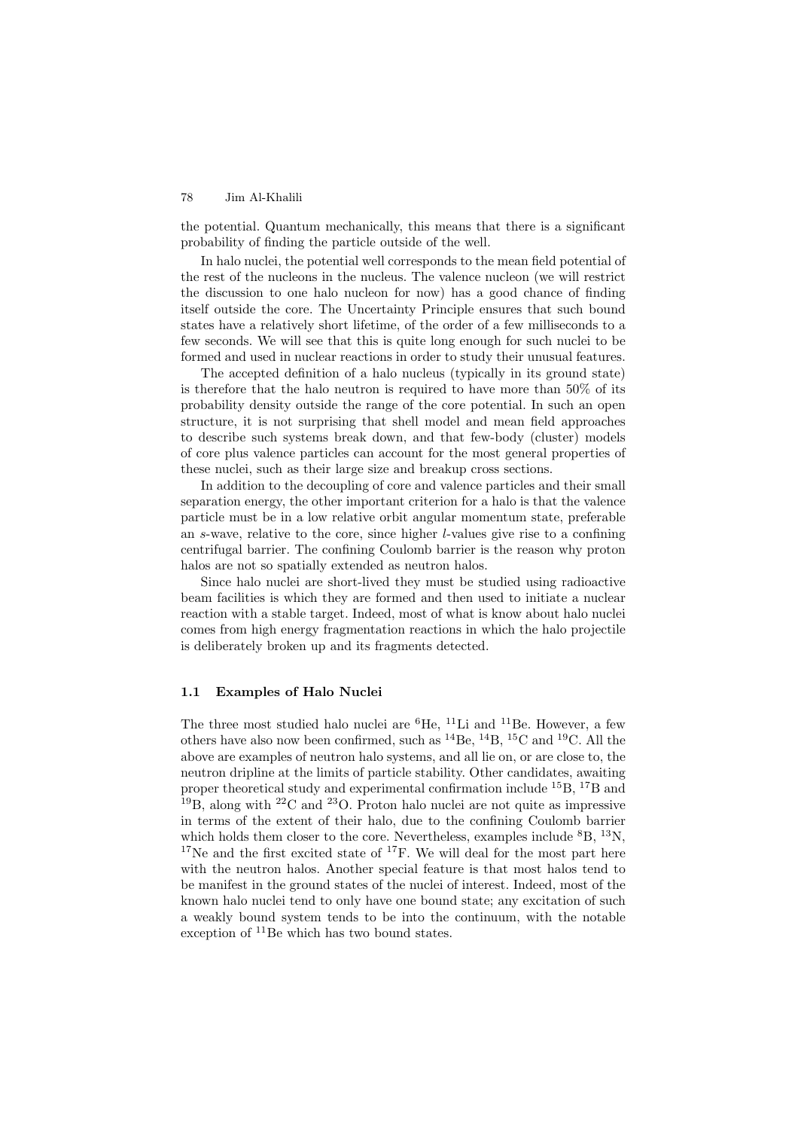the potential. Quantum mechanically, this means that there is a significant probability of finding the particle outside of the well.

In halo nuclei, the potential well corresponds to the mean field potential of the rest of the nucleons in the nucleus. The valence nucleon (we will restrict the discussion to one halo nucleon for now) has a good chance of finding itself outside the core. The Uncertainty Principle ensures that such bound states have a relatively short lifetime, of the order of a few milliseconds to a few seconds. We will see that this is quite long enough for such nuclei to be formed and used in nuclear reactions in order to study their unusual features.

The accepted definition of a halo nucleus (typically in its ground state) is therefore that the halo neutron is required to have more than 50% of its probability density outside the range of the core potential. In such an open structure, it is not surprising that shell model and mean field approaches to describe such systems break down, and that few-body (cluster) models of core plus valence particles can account for the most general properties of these nuclei, such as their large size and breakup cross sections.

In addition to the decoupling of core and valence particles and their small separation energy, the other important criterion for a halo is that the valence particle must be in a low relative orbit angular momentum state, preferable an s-wave, relative to the core, since higher l-values give rise to a confining centrifugal barrier. The confining Coulomb barrier is the reason why proton halos are not so spatially extended as neutron halos.

Since halo nuclei are short-lived they must be studied using radioactive beam facilities is which they are formed and then used to initiate a nuclear reaction with a stable target. Indeed, most of what is know about halo nuclei comes from high energy fragmentation reactions in which the halo projectile is deliberately broken up and its fragments detected.

## **1.1 Examples of Halo Nuclei**

The three most studied halo nuclei are  ${}^{6}$ He,  ${}^{11}$ Li and  ${}^{11}$ Be. However, a few others have also now been confirmed, such as  $^{14}$ Be,  $^{14}$ B,  $^{15}$ C and  $^{19}$ C. All the above are examples of neutron halo systems, and all lie on, or are close to, the neutron dripline at the limits of particle stability. Other candidates, awaiting proper theoretical study and experimental confirmation include <sup>15</sup>B, <sup>17</sup>B and <sup>19</sup>B, along with <sup>22</sup>C and <sup>23</sup>O. Proton halo nuclei are not quite as impressive in terms of the extent of their halo, due to the confining Coulomb barrier which holds them closer to the core. Nevertheless, examples include  ${}^{8}B$ ,  ${}^{13}N$ ,  $17$ Ne and the first excited state of  $17$ F. We will deal for the most part here with the neutron halos. Another special feature is that most halos tend to be manifest in the ground states of the nuclei of interest. Indeed, most of the known halo nuclei tend to only have one bound state; any excitation of such a weakly bound system tends to be into the continuum, with the notable exception of  $^{11}$ Be which has two bound states.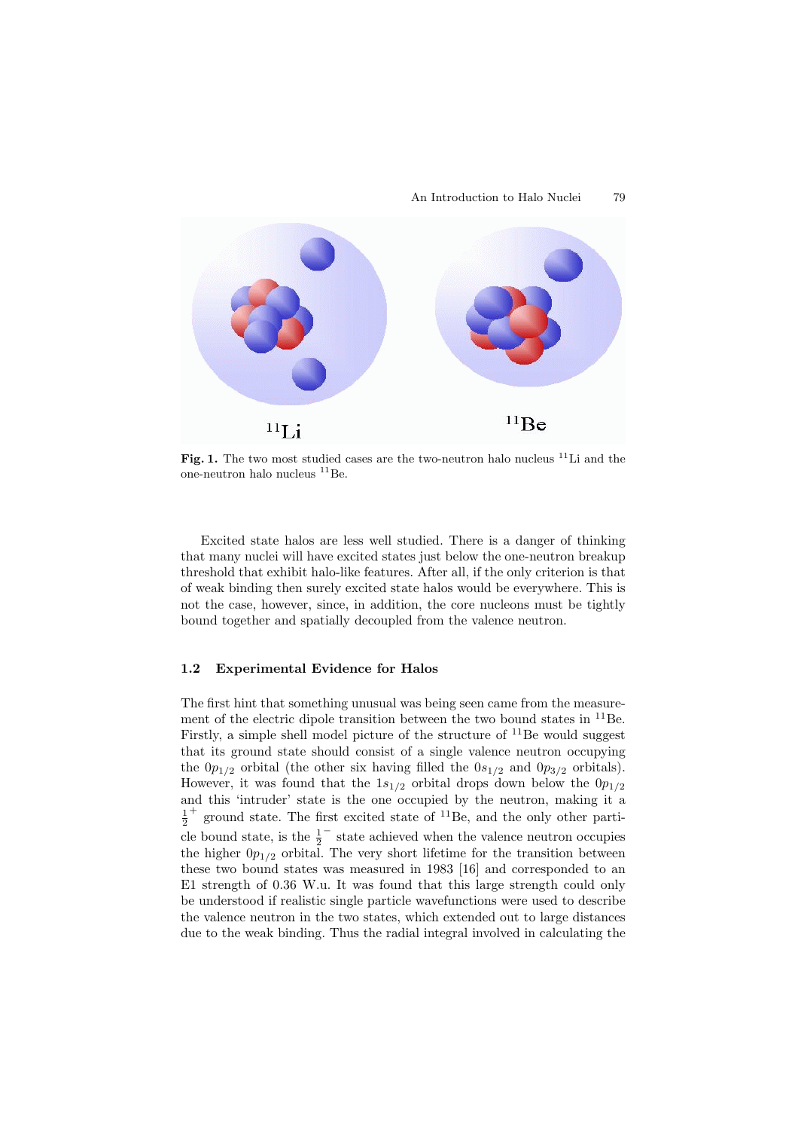

Fig. 1. The two most studied cases are the two-neutron halo nucleus <sup>11</sup>Li and the one-neutron halo nucleus  $^{11}$ Be.

Excited state halos are less well studied. There is a danger of thinking that many nuclei will have excited states just below the one-neutron breakup threshold that exhibit halo-like features. After all, if the only criterion is that of weak binding then surely excited state halos would be everywhere. This is not the case, however, since, in addition, the core nucleons must be tightly bound together and spatially decoupled from the valence neutron.

### **1.2 Experimental Evidence for Halos**

The first hint that something unusual was being seen came from the measurement of the electric dipole transition between the two bound states in  $^{11}$ Be. Firstly, a simple shell model picture of the structure of  $^{11}$ Be would suggest that its ground state should consist of a single valence neutron occupying the  $0p_{1/2}$  orbital (the other six having filled the  $0s_{1/2}$  and  $0p_{3/2}$  orbitals). However, it was found that the  $1s_{1/2}$  orbital drops down below the  $0p_{1/2}$ and this 'intruder' state is the one occupied by the neutron, making it a  $\frac{1}{2}^+$  ground state. The first excited state of <sup>11</sup>Be, and the only other particle bound state, is the  $\frac{1}{2}^{-}$  state achieved when the valence neutron occupies the higher  $0p_{1/2}$  orbital. The very short lifetime for the transition between these two bound states was measured in 1983 [16] and corresponded to an E1 strength of 0.36 W.u. It was found that this large strength could only be understood if realistic single particle wavefunctions were used to describe the valence neutron in the two states, which extended out to large distances due to the weak binding. Thus the radial integral involved in calculating the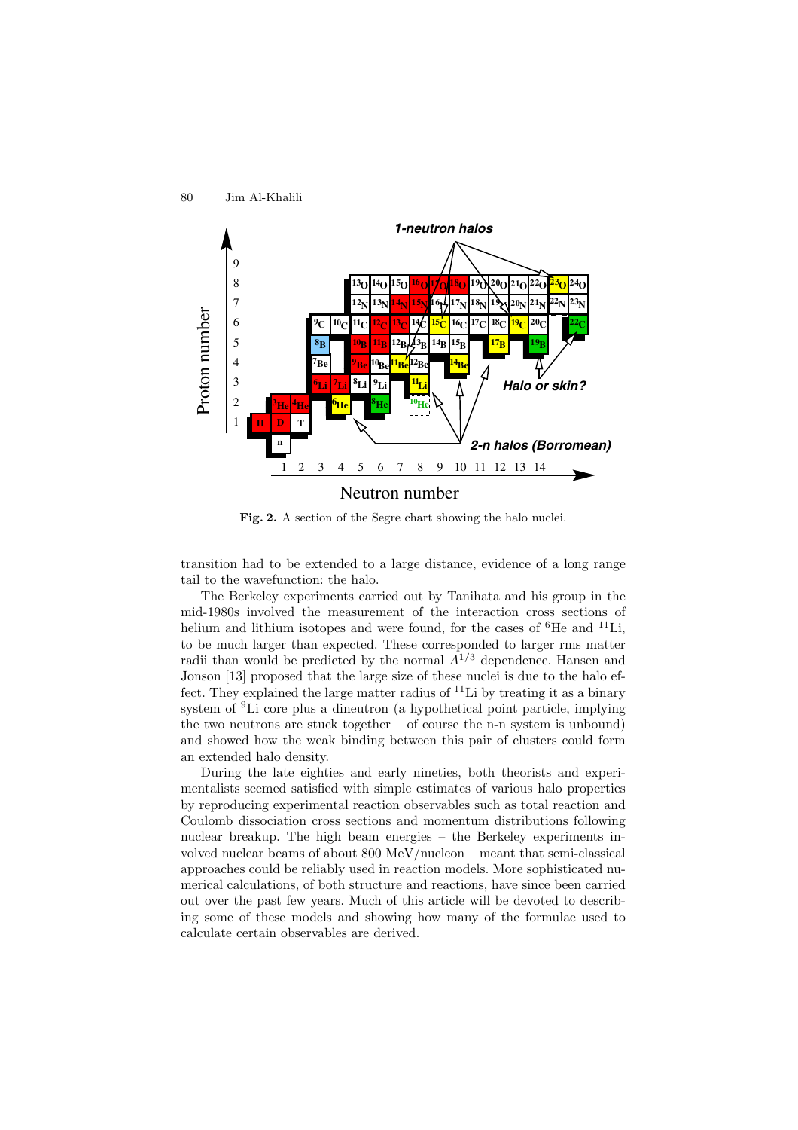

**Fig. 2.** A section of the Segre chart showing the halo nuclei.

transition had to be extended to a large distance, evidence of a long range tail to the wavefunction: the halo.

The Berkeley experiments carried out by Tanihata and his group in the mid-1980s involved the measurement of the interaction cross sections of helium and lithium isotopes and were found, for the cases of  ${}^{6}$ He and  ${}^{11}$ Li, to be much larger than expected. These corresponded to larger rms matter radii than would be predicted by the normal  $A^{1/3}$  dependence. Hansen and Jonson [13] proposed that the large size of these nuclei is due to the halo effect. They explained the large matter radius of  $^{11}$ Li by treating it as a binary system of <sup>9</sup>Li core plus a dineutron (a hypothetical point particle, implying the two neutrons are stuck together  $-$  of course the n-n system is unbound) and showed how the weak binding between this pair of clusters could form an extended halo density.

During the late eighties and early nineties, both theorists and experimentalists seemed satisfied with simple estimates of various halo properties by reproducing experimental reaction observables such as total reaction and Coulomb dissociation cross sections and momentum distributions following nuclear breakup. The high beam energies – the Berkeley experiments involved nuclear beams of about 800 MeV/nucleon – meant that semi-classical approaches could be reliably used in reaction models. More sophisticated numerical calculations, of both structure and reactions, have since been carried out over the past few years. Much of this article will be devoted to describing some of these models and showing how many of the formulae used to calculate certain observables are derived.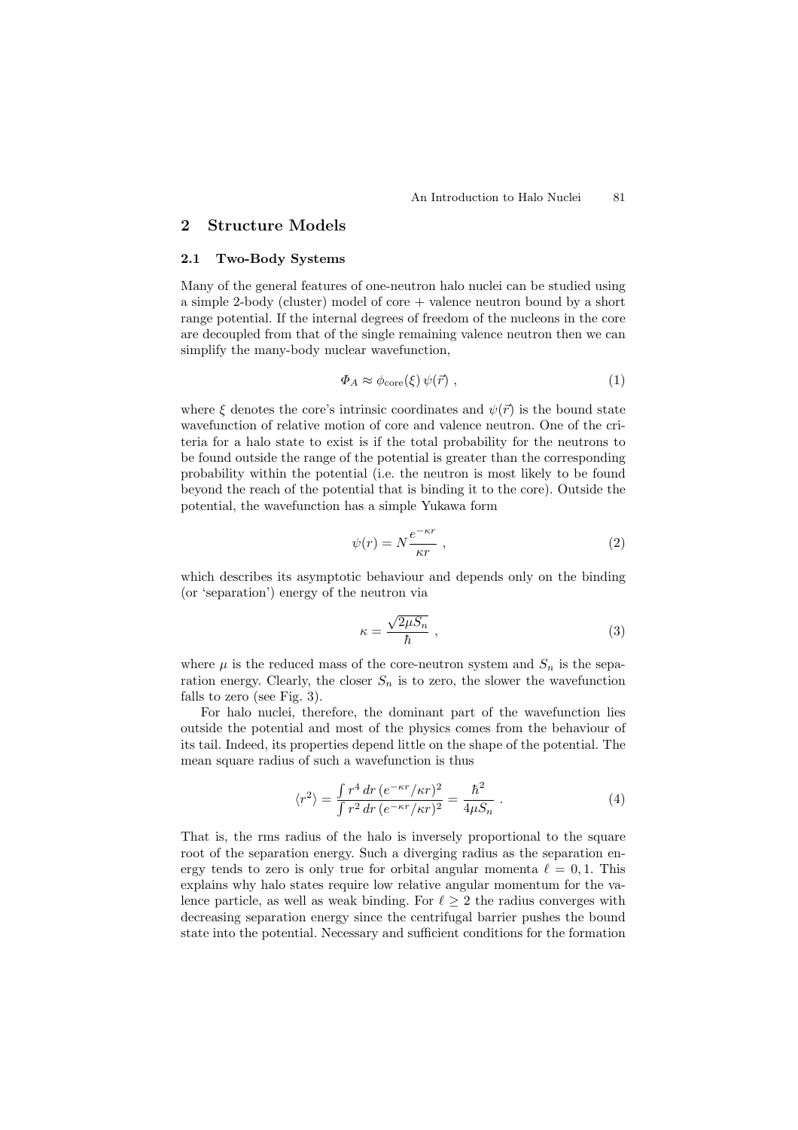## **2 Structure Models**

#### **2.1 Two-Body Systems**

Many of the general features of one-neutron halo nuclei can be studied using a simple 2-body (cluster) model of  $\text{core} + \text{valence}$  neutron bound by a short range potential. If the internal degrees of freedom of the nucleons in the core are decoupled from that of the single remaining valence neutron then we can simplify the many-body nuclear wavefunction,

$$
\Phi_A \approx \phi_{\rm core}(\xi) \,\psi(\vec{r}) \;, \tag{1}
$$

where  $\xi$  denotes the core's intrinsic coordinates and  $\psi(\vec{r})$  is the bound state wavefunction of relative motion of core and valence neutron. One of the criteria for a halo state to exist is if the total probability for the neutrons to be found outside the range of the potential is greater than the corresponding probability within the potential (i.e. the neutron is most likely to be found beyond the reach of the potential that is binding it to the core). Outside the potential, the wavefunction has a simple Yukawa form

$$
\psi(r) = N \frac{e^{-\kappa r}}{\kappa r} \;, \tag{2}
$$

which describes its asymptotic behaviour and depends only on the binding (or 'separation') energy of the neutron via

$$
\kappa = \frac{\sqrt{2\mu S_n}}{\hbar} \;, \tag{3}
$$

where  $\mu$  is the reduced mass of the core-neutron system and  $S_n$  is the separation energy. Clearly, the closer  $S_n$  is to zero, the slower the wavefunction falls to zero (see Fig. 3).

For halo nuclei, therefore, the dominant part of the wavefunction lies outside the potential and most of the physics comes from the behaviour of its tail. Indeed, its properties depend little on the shape of the potential. The mean square radius of such a wavefunction is thus

$$
\langle r^2 \rangle = \frac{\int r^4 dr \left( e^{-\kappa r} / \kappa r \right)^2}{\int r^2 dr \left( e^{-\kappa r} / \kappa r \right)^2} = \frac{\hbar^2}{4\mu S_n} \ . \tag{4}
$$

That is, the rms radius of the halo is inversely proportional to the square root of the separation energy. Such a diverging radius as the separation energy tends to zero is only true for orbital angular momenta  $\ell = 0, 1$ . This explains why halo states require low relative angular momentum for the valence particle, as well as weak binding. For  $\ell \geq 2$  the radius converges with decreasing separation energy since the centrifugal barrier pushes the bound state into the potential. Necessary and sufficient conditions for the formation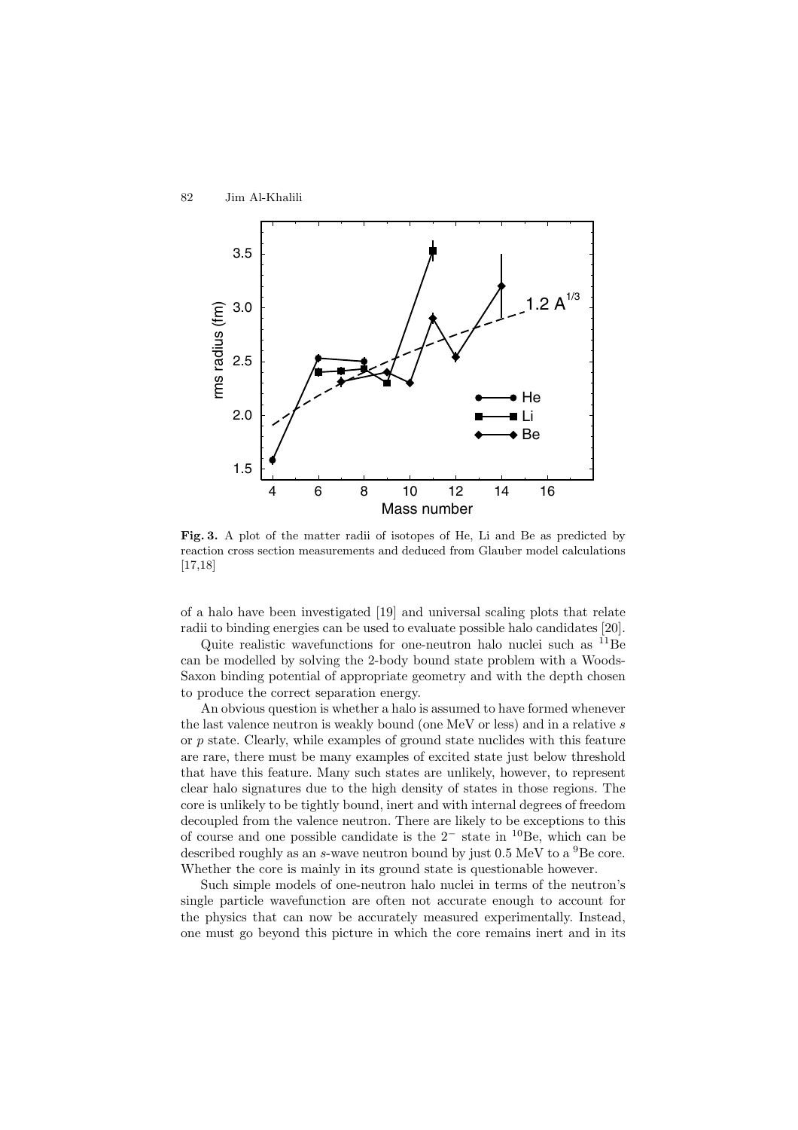

**Fig. 3.** A plot of the matter radii of isotopes of He, Li and Be as predicted by reaction cross section measurements and deduced from Glauber model calculations [17,18]

of a halo have been investigated [19] and universal scaling plots that relate radii to binding energies can be used to evaluate possible halo candidates [20].

Quite realistic wavefunctions for one-neutron halo nuclei such as  ${}^{11}Be$ can be modelled by solving the 2-body bound state problem with a Woods-Saxon binding potential of appropriate geometry and with the depth chosen to produce the correct separation energy.

An obvious question is whether a halo is assumed to have formed whenever the last valence neutron is weakly bound (one MeV or less) and in a relative s or p state. Clearly, while examples of ground state nuclides with this feature are rare, there must be many examples of excited state just below threshold that have this feature. Many such states are unlikely, however, to represent clear halo signatures due to the high density of states in those regions. The core is unlikely to be tightly bound, inert and with internal degrees of freedom decoupled from the valence neutron. There are likely to be exceptions to this of course and one possible candidate is the 2<sup>−</sup> state in <sup>10</sup>Be, which can be described roughly as an s-wave neutron bound by just  $0.5 \text{ MeV}$  to a  $^9\text{Be}$  core. Whether the core is mainly in its ground state is questionable however.

Such simple models of one-neutron halo nuclei in terms of the neutron's single particle wavefunction are often not accurate enough to account for the physics that can now be accurately measured experimentally. Instead, one must go beyond this picture in which the core remains inert and in its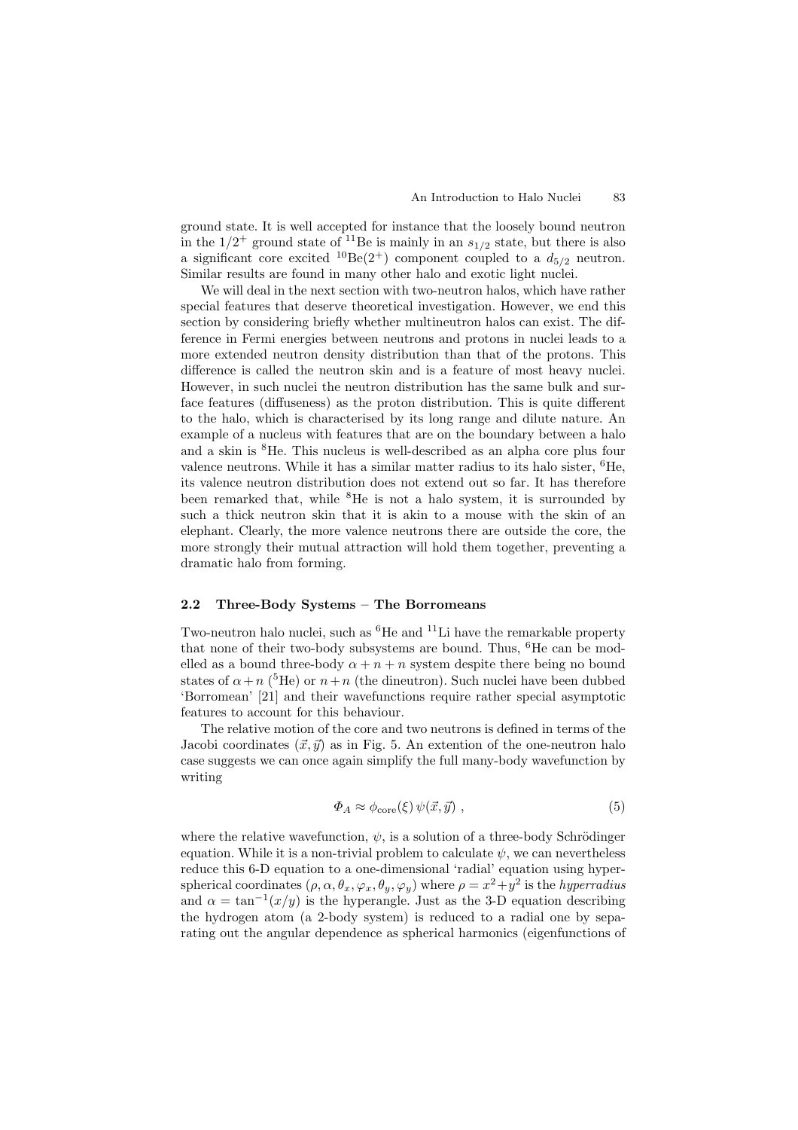ground state. It is well accepted for instance that the loosely bound neutron in the  $1/2^+$  ground state of <sup>11</sup>Be is mainly in an  $s_{1/2}$  state, but there is also a significant core excited <sup>10</sup>Be(2<sup>+</sup>) component coupled to a  $d_{5/2}$  neutron. Similar results are found in many other halo and exotic light nuclei.

We will deal in the next section with two-neutron halos, which have rather special features that deserve theoretical investigation. However, we end this section by considering briefly whether multineutron halos can exist. The difference in Fermi energies between neutrons and protons in nuclei leads to a more extended neutron density distribution than that of the protons. This difference is called the neutron skin and is a feature of most heavy nuclei. However, in such nuclei the neutron distribution has the same bulk and surface features (diffuseness) as the proton distribution. This is quite different to the halo, which is characterised by its long range and dilute nature. An example of a nucleus with features that are on the boundary between a halo and a skin is <sup>8</sup>He. This nucleus is well-described as an alpha core plus four valence neutrons. While it has a similar matter radius to its halo sister,  ${}^{6}$ He, its valence neutron distribution does not extend out so far. It has therefore been remarked that, while  ${}^{8}$ He is not a halo system, it is surrounded by such a thick neutron skin that it is akin to a mouse with the skin of an elephant. Clearly, the more valence neutrons there are outside the core, the more strongly their mutual attraction will hold them together, preventing a dramatic halo from forming.

### **2.2 Three-Body Systems – The Borromeans**

Two-neutron halo nuclei, such as  ${}^{6}$ He and  ${}^{11}$ Li have the remarkable property that none of their two-body subsystems are bound. Thus, <sup>6</sup>He can be modelled as a bound three-body  $\alpha + n + n$  system despite there being no bound states of  $\alpha + n$  (<sup>5</sup>He) or  $n+n$  (the dineutron). Such nuclei have been dubbed 'Borromean' [21] and their wavefunctions require rather special asymptotic features to account for this behaviour.

The relative motion of the core and two neutrons is defined in terms of the Jacobi coordinates  $(\vec{x}, \vec{y})$  as in Fig. 5. An extention of the one-neutron halo case suggests we can once again simplify the full many-body wavefunction by writing

$$
\Phi_A \approx \phi_{\rm core}(\xi) \,\psi(\vec{x}, \vec{y}) \;, \tag{5}
$$

where the relative wavefunction,  $\psi$ , is a solution of a three-body Schrödinger equation. While it is a non-trivial problem to calculate  $\psi$ , we can nevertheless reduce this 6-D equation to a one-dimensional 'radial' equation using hyperspherical coordinates  $(\rho, \alpha, \theta_x, \varphi_x, \theta_y, \varphi_y)$  where  $\rho = x^2 + y^2$  is the *hyperradius* and  $\alpha = \tan^{-1}(x/y)$  is the hyperangle. Just as the 3-D equation describing the hydrogen atom (a 2-body system) is reduced to a radial one by separating out the angular dependence as spherical harmonics (eigenfunctions of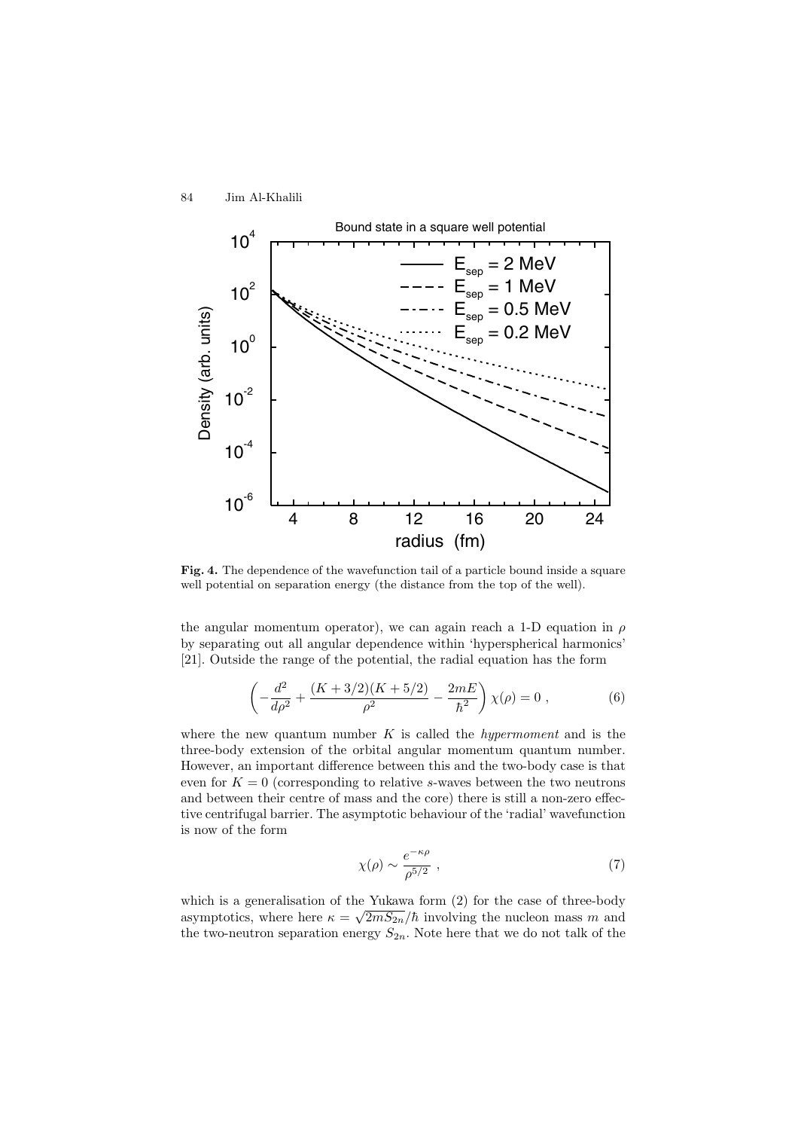

**Fig. 4.** The dependence of the wavefunction tail of a particle bound inside a square well potential on separation energy (the distance from the top of the well).

the angular momentum operator), we can again reach a 1-D equation in  $\rho$ by separating out all angular dependence within 'hyperspherical harmonics' [21]. Outside the range of the potential, the radial equation has the form

$$
\left(-\frac{d^2}{d\rho^2} + \frac{(K+3/2)(K+5/2)}{\rho^2} - \frac{2mE}{\hbar^2}\right)\chi(\rho) = 0 ,\qquad (6)
$$

where the new quantum number K is called the *hypermoment* and is the three-body extension of the orbital angular momentum quantum number. However, an important difference between this and the two-body case is that even for  $K = 0$  (corresponding to relative s-waves between the two neutrons and between their centre of mass and the core) there is still a non-zero effective centrifugal barrier. The asymptotic behaviour of the 'radial' wavefunction is now of the form

$$
\chi(\rho) \sim \frac{e^{-\kappa \rho}}{\rho^{5/2}} \;, \tag{7}
$$

which is a generalisation of the Yukawa form (2) for the case of three-body asymptotics, where here  $\kappa = \sqrt{2mS_{2n}}/\hbar$  involving the nucleon mass m and the two-neutron separation energy  $S_{2n}$ . Note here that we do not talk of the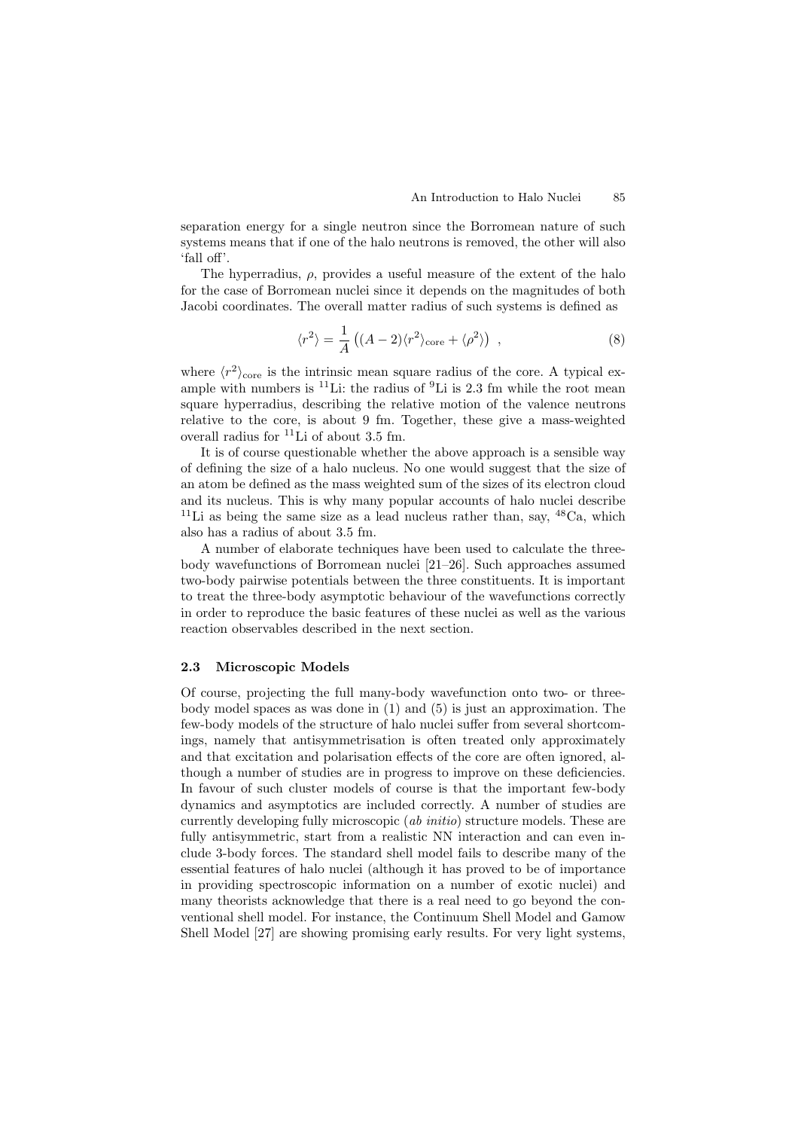separation energy for a single neutron since the Borromean nature of such systems means that if one of the halo neutrons is removed, the other will also 'fall off'.

The hyperradius,  $\rho$ , provides a useful measure of the extent of the halo for the case of Borromean nuclei since it depends on the magnitudes of both Jacobi coordinates. The overall matter radius of such systems is defined as

$$
\langle r^2 \rangle = \frac{1}{A} \left( (A - 2) \langle r^2 \rangle_{\text{core}} + \langle \rho^2 \rangle \right) , \qquad (8)
$$

where  $\langle r^2 \rangle_{\text{core}}$  is the intrinsic mean square radius of the core. A typical example with numbers is  ${}^{11}$ Li: the radius of  ${}^{9}$ Li is 2.3 fm while the root mean square hyperradius, describing the relative motion of the valence neutrons relative to the core, is about 9 fm. Together, these give a mass-weighted overall radius for  $^{11}$ Li of about 3.5 fm.

It is of course questionable whether the above approach is a sensible way of defining the size of a halo nucleus. No one would suggest that the size of an atom be defined as the mass weighted sum of the sizes of its electron cloud and its nucleus. This is why many popular accounts of halo nuclei describe  $11$ Li as being the same size as a lead nucleus rather than, say,  $48$ Ca, which also has a radius of about 3.5 fm.

A number of elaborate techniques have been used to calculate the threebody wavefunctions of Borromean nuclei [21–26]. Such approaches assumed two-body pairwise potentials between the three constituents. It is important to treat the three-body asymptotic behaviour of the wavefunctions correctly in order to reproduce the basic features of these nuclei as well as the various reaction observables described in the next section.

#### **2.3 Microscopic Models**

Of course, projecting the full many-body wavefunction onto two- or threebody model spaces as was done in (1) and (5) is just an approximation. The few-body models of the structure of halo nuclei suffer from several shortcomings, namely that antisymmetrisation is often treated only approximately and that excitation and polarisation effects of the core are often ignored, although a number of studies are in progress to improve on these deficiencies. In favour of such cluster models of course is that the important few-body dynamics and asymptotics are included correctly. A number of studies are currently developing fully microscopic (*ab initio*) structure models. These are fully antisymmetric, start from a realistic NN interaction and can even include 3-body forces. The standard shell model fails to describe many of the essential features of halo nuclei (although it has proved to be of importance in providing spectroscopic information on a number of exotic nuclei) and many theorists acknowledge that there is a real need to go beyond the conventional shell model. For instance, the Continuum Shell Model and Gamow Shell Model [27] are showing promising early results. For very light systems,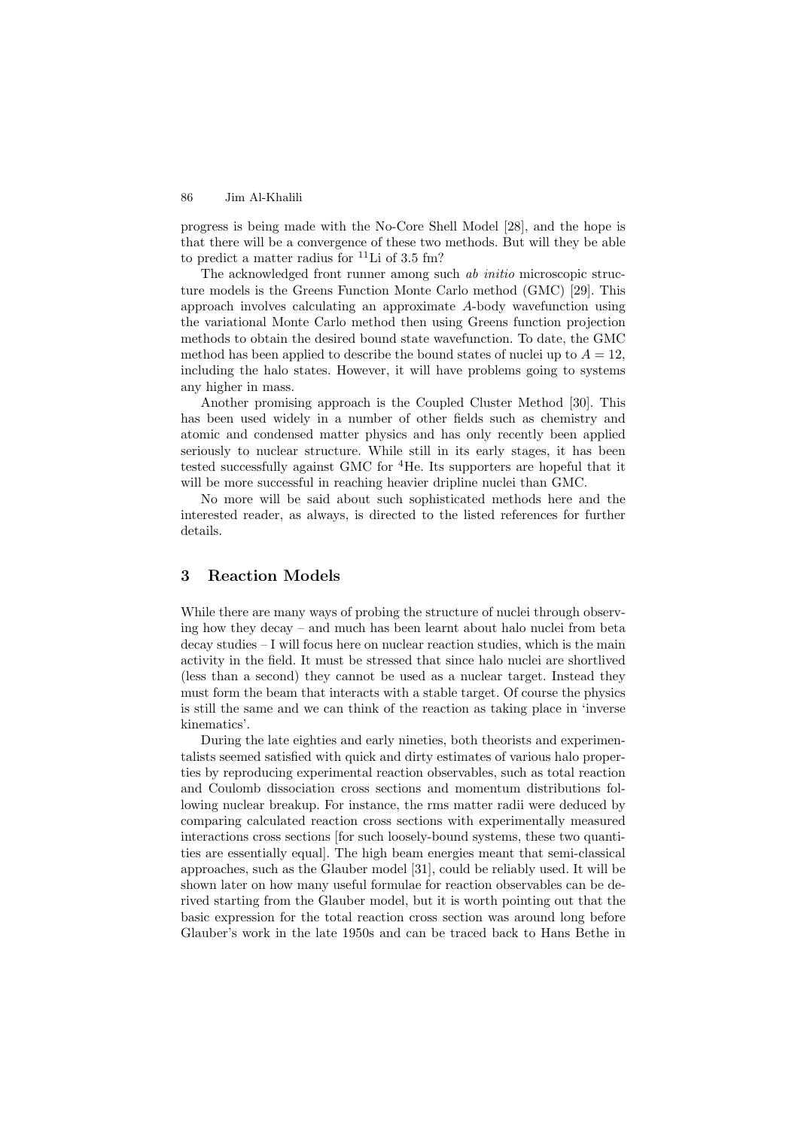progress is being made with the No-Core Shell Model [28], and the hope is that there will be a convergence of these two methods. But will they be able to predict a matter radius for  $^{11}$ Li of 3.5 fm?

The acknowledged front runner among such *ab initio* microscopic structure models is the Greens Function Monte Carlo method (GMC) [29]. This approach involves calculating an approximate A-body wavefunction using the variational Monte Carlo method then using Greens function projection methods to obtain the desired bound state wavefunction. To date, the GMC method has been applied to describe the bound states of nuclei up to  $A = 12$ , including the halo states. However, it will have problems going to systems any higher in mass.

Another promising approach is the Coupled Cluster Method [30]. This has been used widely in a number of other fields such as chemistry and atomic and condensed matter physics and has only recently been applied seriously to nuclear structure. While still in its early stages, it has been tested successfully against GMC for <sup>4</sup>He. Its supporters are hopeful that it will be more successful in reaching heavier dripline nuclei than GMC.

No more will be said about such sophisticated methods here and the interested reader, as always, is directed to the listed references for further details.

## **3 Reaction Models**

While there are many ways of probing the structure of nuclei through observing how they decay – and much has been learnt about halo nuclei from beta decay studies – I will focus here on nuclear reaction studies, which is the main activity in the field. It must be stressed that since halo nuclei are shortlived (less than a second) they cannot be used as a nuclear target. Instead they must form the beam that interacts with a stable target. Of course the physics is still the same and we can think of the reaction as taking place in 'inverse kinematics'.

During the late eighties and early nineties, both theorists and experimentalists seemed satisfied with quick and dirty estimates of various halo properties by reproducing experimental reaction observables, such as total reaction and Coulomb dissociation cross sections and momentum distributions following nuclear breakup. For instance, the rms matter radii were deduced by comparing calculated reaction cross sections with experimentally measured interactions cross sections [for such loosely-bound systems, these two quantities are essentially equal]. The high beam energies meant that semi-classical approaches, such as the Glauber model [31], could be reliably used. It will be shown later on how many useful formulae for reaction observables can be derived starting from the Glauber model, but it is worth pointing out that the basic expression for the total reaction cross section was around long before Glauber's work in the late 1950s and can be traced back to Hans Bethe in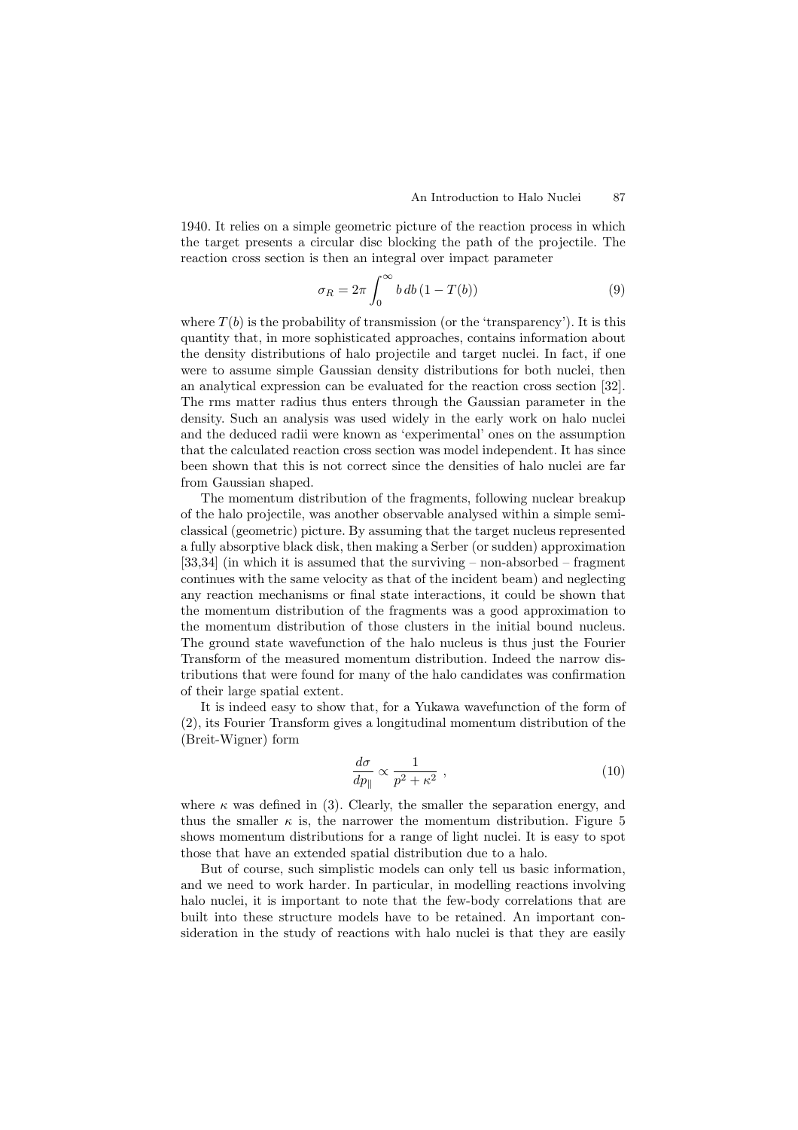1940. It relies on a simple geometric picture of the reaction process in which the target presents a circular disc blocking the path of the projectile. The reaction cross section is then an integral over impact parameter

$$
\sigma_R = 2\pi \int_0^\infty b \, db \left(1 - T(b)\right) \tag{9}
$$

where  $T(b)$  is the probability of transmission (or the 'transparency'). It is this quantity that, in more sophisticated approaches, contains information about the density distributions of halo projectile and target nuclei. In fact, if one were to assume simple Gaussian density distributions for both nuclei, then an analytical expression can be evaluated for the reaction cross section [32]. The rms matter radius thus enters through the Gaussian parameter in the density. Such an analysis was used widely in the early work on halo nuclei and the deduced radii were known as 'experimental' ones on the assumption that the calculated reaction cross section was model independent. It has since been shown that this is not correct since the densities of halo nuclei are far from Gaussian shaped.

The momentum distribution of the fragments, following nuclear breakup of the halo projectile, was another observable analysed within a simple semiclassical (geometric) picture. By assuming that the target nucleus represented a fully absorptive black disk, then making a Serber (or sudden) approximation [33,34] (in which it is assumed that the surviving – non-absorbed – fragment continues with the same velocity as that of the incident beam) and neglecting any reaction mechanisms or final state interactions, it could be shown that the momentum distribution of the fragments was a good approximation to the momentum distribution of those clusters in the initial bound nucleus. The ground state wavefunction of the halo nucleus is thus just the Fourier Transform of the measured momentum distribution. Indeed the narrow distributions that were found for many of the halo candidates was confirmation of their large spatial extent.

It is indeed easy to show that, for a Yukawa wavefunction of the form of (2), its Fourier Transform gives a longitudinal momentum distribution of the (Breit-Wigner) form

$$
\frac{d\sigma}{dp_{\parallel}} \propto \frac{1}{p^2 + \kappa^2} \,, \tag{10}
$$

where  $\kappa$  was defined in (3). Clearly, the smaller the separation energy, and thus the smaller  $\kappa$  is, the narrower the momentum distribution. Figure 5 shows momentum distributions for a range of light nuclei. It is easy to spot those that have an extended spatial distribution due to a halo.

But of course, such simplistic models can only tell us basic information, and we need to work harder. In particular, in modelling reactions involving halo nuclei, it is important to note that the few-body correlations that are built into these structure models have to be retained. An important consideration in the study of reactions with halo nuclei is that they are easily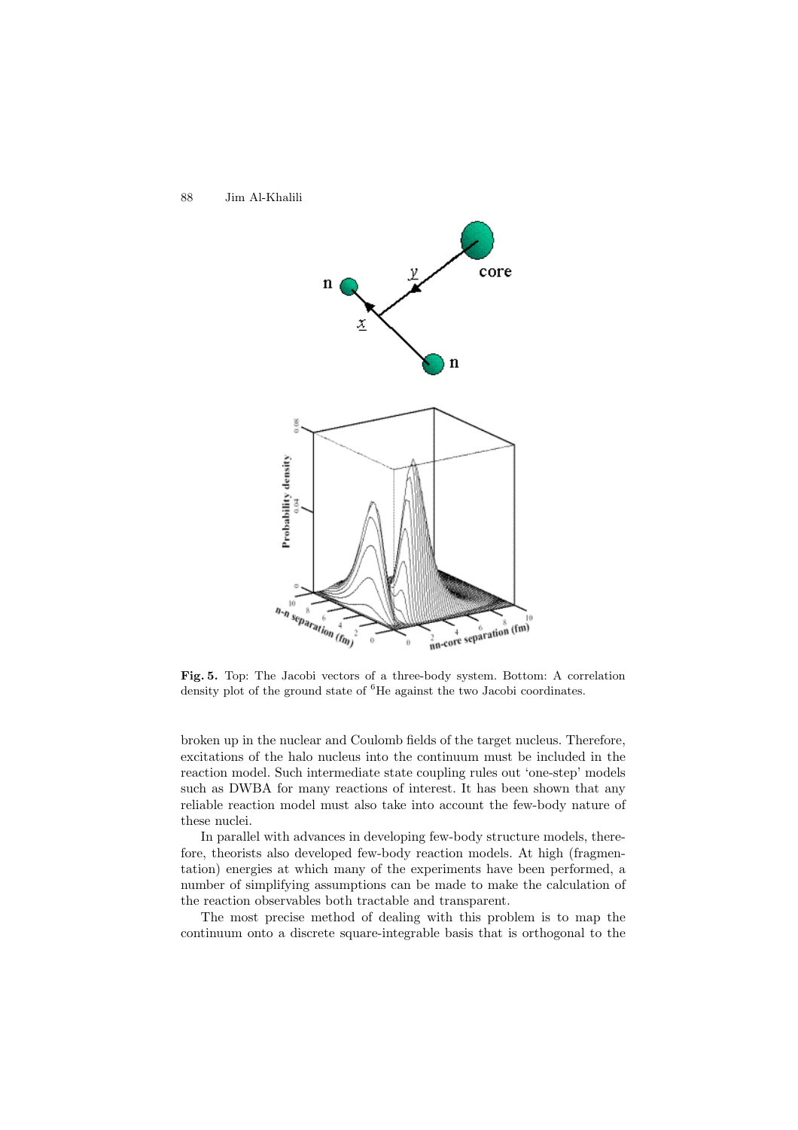

**Fig. 5.** Top: The Jacobi vectors of a three-body system. Bottom: A correlation density plot of the ground state of <sup>6</sup>He against the two Jacobi coordinates.

broken up in the nuclear and Coulomb fields of the target nucleus. Therefore, excitations of the halo nucleus into the continuum must be included in the reaction model. Such intermediate state coupling rules out 'one-step' models such as DWBA for many reactions of interest. It has been shown that any reliable reaction model must also take into account the few-body nature of these nuclei.

In parallel with advances in developing few-body structure models, therefore, theorists also developed few-body reaction models. At high (fragmentation) energies at which many of the experiments have been performed, a number of simplifying assumptions can be made to make the calculation of the reaction observables both tractable and transparent.

The most precise method of dealing with this problem is to map the continuum onto a discrete square-integrable basis that is orthogonal to the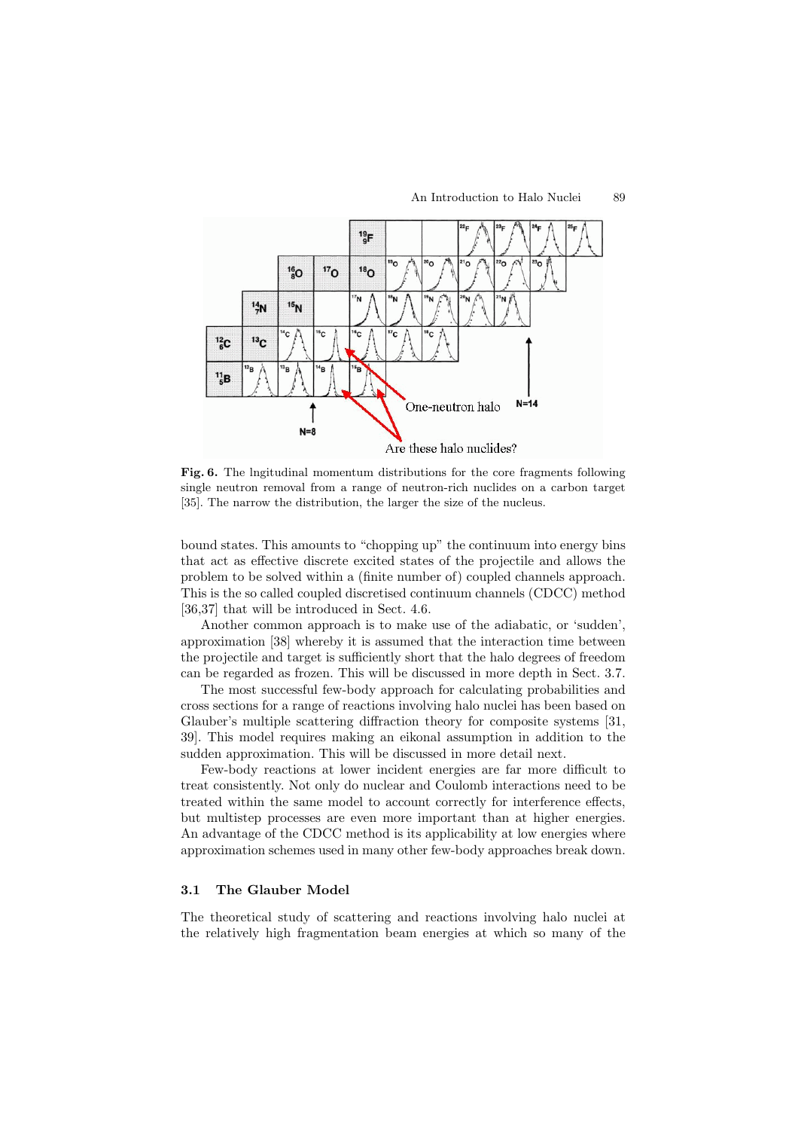

**Fig. 6.** The lngitudinal momentum distributions for the core fragments following single neutron removal from a range of neutron-rich nuclides on a carbon target [35]. The narrow the distribution, the larger the size of the nucleus.

bound states. This amounts to "chopping up" the continuum into energy bins that act as effective discrete excited states of the projectile and allows the problem to be solved within a (finite number of) coupled channels approach. This is the so called coupled discretised continuum channels (CDCC) method [36,37] that will be introduced in Sect. 4.6.

Another common approach is to make use of the adiabatic, or 'sudden', approximation [38] whereby it is assumed that the interaction time between the projectile and target is sufficiently short that the halo degrees of freedom can be regarded as frozen. This will be discussed in more depth in Sect. 3.7.

The most successful few-body approach for calculating probabilities and cross sections for a range of reactions involving halo nuclei has been based on Glauber's multiple scattering diffraction theory for composite systems [31, 39]. This model requires making an eikonal assumption in addition to the sudden approximation. This will be discussed in more detail next.

Few-body reactions at lower incident energies are far more difficult to treat consistently. Not only do nuclear and Coulomb interactions need to be treated within the same model to account correctly for interference effects, but multistep processes are even more important than at higher energies. An advantage of the CDCC method is its applicability at low energies where approximation schemes used in many other few-body approaches break down.

#### **3.1 The Glauber Model**

The theoretical study of scattering and reactions involving halo nuclei at the relatively high fragmentation beam energies at which so many of the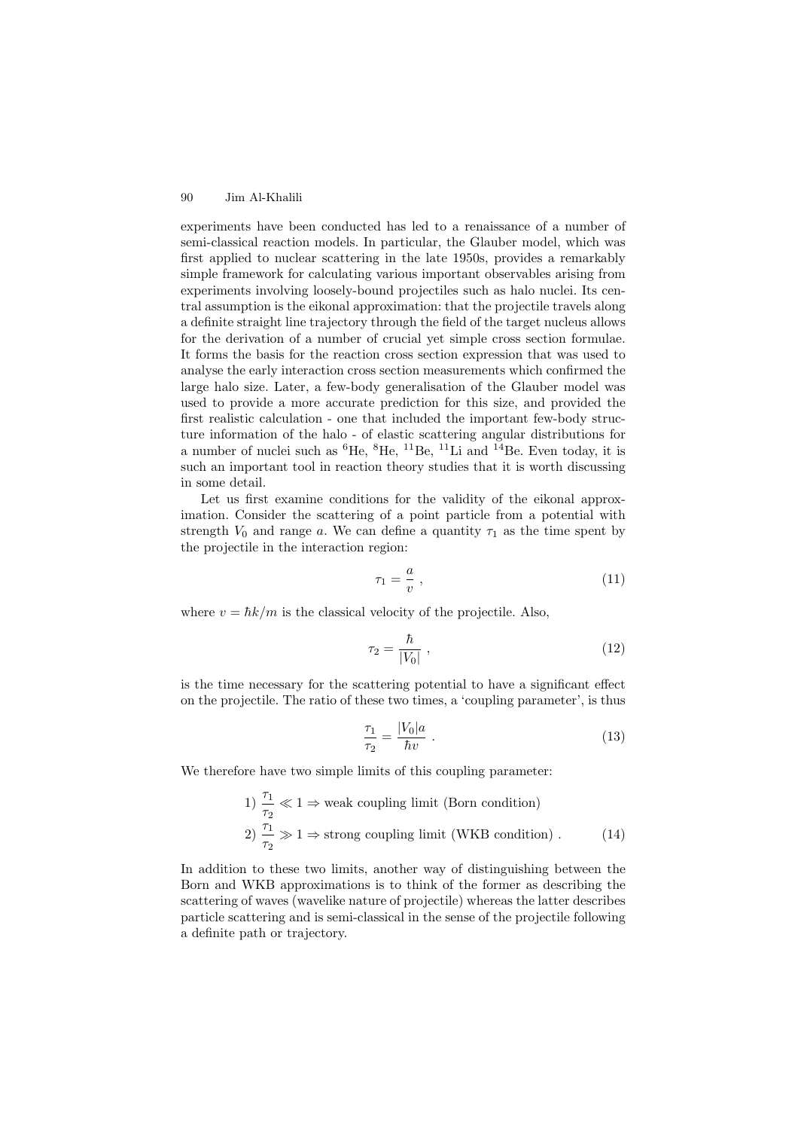experiments have been conducted has led to a renaissance of a number of semi-classical reaction models. In particular, the Glauber model, which was first applied to nuclear scattering in the late 1950s, provides a remarkably simple framework for calculating various important observables arising from experiments involving loosely-bound projectiles such as halo nuclei. Its central assumption is the eikonal approximation: that the projectile travels along a definite straight line trajectory through the field of the target nucleus allows for the derivation of a number of crucial yet simple cross section formulae. It forms the basis for the reaction cross section expression that was used to analyse the early interaction cross section measurements which confirmed the large halo size. Later, a few-body generalisation of the Glauber model was used to provide a more accurate prediction for this size, and provided the first realistic calculation - one that included the important few-body structure information of the halo - of elastic scattering angular distributions for a number of nuclei such as  ${}^{6}$ He,  ${}^{8}$ He,  ${}^{11}$ Be,  ${}^{11}$ Li and  ${}^{14}$ Be. Even today, it is such an important tool in reaction theory studies that it is worth discussing in some detail.

Let us first examine conditions for the validity of the eikonal approximation. Consider the scattering of a point particle from a potential with strength  $V_0$  and range a. We can define a quantity  $\tau_1$  as the time spent by the projectile in the interaction region:

$$
\tau_1 = \frac{a}{v} \,,\tag{11}
$$

where  $v = \hbar k/m$  is the classical velocity of the projectile. Also,

$$
\tau_2 = \frac{\hbar}{|V_0|} \;, \tag{12}
$$

is the time necessary for the scattering potential to have a significant effect on the projectile. The ratio of these two times, a 'coupling parameter', is thus

$$
\frac{\tau_1}{\tau_2} = \frac{|V_0|a}{\hbar v} \tag{13}
$$

We therefore have two simple limits of this coupling parameter:

1) 
$$
\frac{\tau_1}{\tau_2} \ll 1 \Rightarrow
$$
 weak coupling limit (Born condition)  
2)  $\frac{\tau_1}{\tau_2} \gg 1 \Rightarrow$  strong coupling limit (WKB condition) . (14)

In addition to these two limits, another way of distinguishing between the Born and WKB approximations is to think of the former as describing the scattering of waves (wavelike nature of projectile) whereas the latter describes particle scattering and is semi-classical in the sense of the projectile following a definite path or trajectory.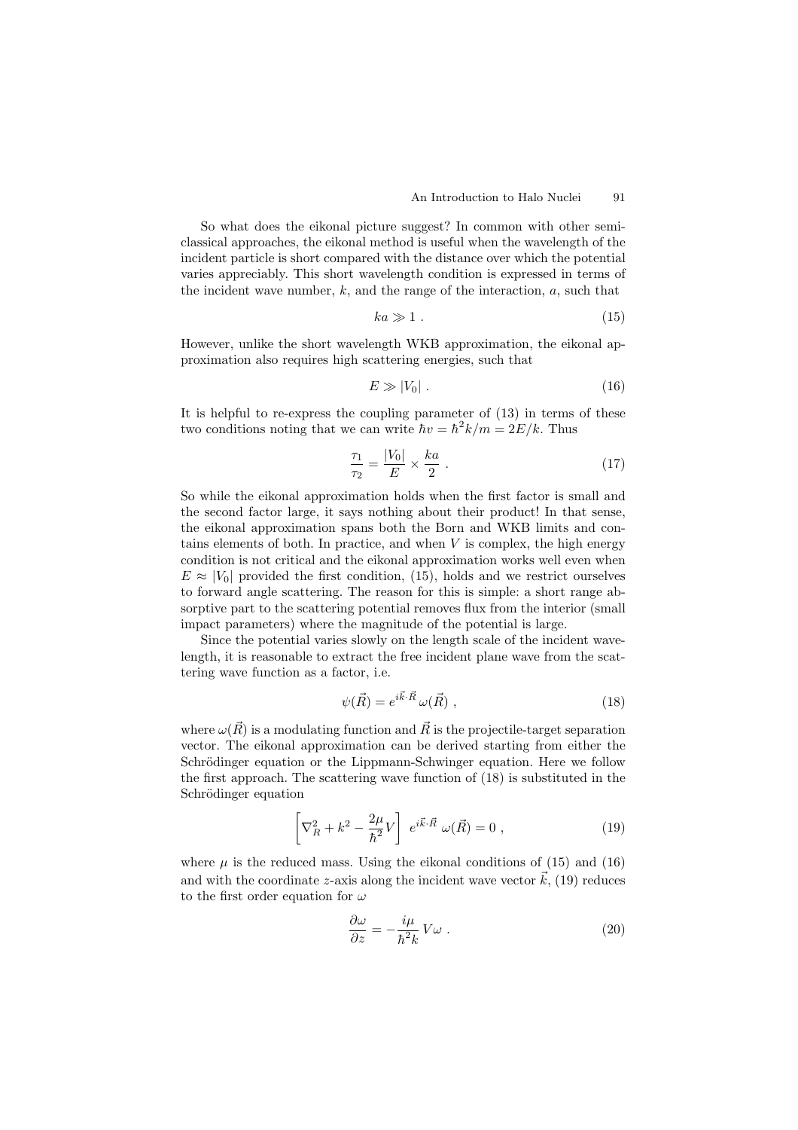So what does the eikonal picture suggest? In common with other semiclassical approaches, the eikonal method is useful when the wavelength of the incident particle is short compared with the distance over which the potential varies appreciably. This short wavelength condition is expressed in terms of the incident wave number,  $k$ , and the range of the interaction,  $a$ , such that

$$
ka \gg 1. \tag{15}
$$

However, unlike the short wavelength WKB approximation, the eikonal approximation also requires high scattering energies, such that

$$
E \gg |V_0| \ . \tag{16}
$$

It is helpful to re-express the coupling parameter of (13) in terms of these two conditions noting that we can write  $\hbar v = \hbar^2 k / m = 2E/k$ . Thus

$$
\frac{\tau_1}{\tau_2} = \frac{|V_0|}{E} \times \frac{ka}{2} \tag{17}
$$

So while the eikonal approximation holds when the first factor is small and the second factor large, it says nothing about their product! In that sense, the eikonal approximation spans both the Born and WKB limits and contains elements of both. In practice, and when  $V$  is complex, the high energy condition is not critical and the eikonal approximation works well even when  $E \approx |V_0|$  provided the first condition, (15), holds and we restrict ourselves to forward angle scattering. The reason for this is simple: a short range absorptive part to the scattering potential removes flux from the interior (small impact parameters) where the magnitude of the potential is large.

Since the potential varies slowly on the length scale of the incident wavelength, it is reasonable to extract the free incident plane wave from the scattering wave function as a factor, i.e.

$$
\psi(\vec{R}) = e^{i\vec{k}\cdot\vec{R}}\,\omega(\vec{R})\,,\tag{18}
$$

where  $\omega(\vec{R})$  is a modulating function and  $\vec{R}$  is the projectile-target separation vector. The eikonal approximation can be derived starting from either the Schrödinger equation or the Lippmann-Schwinger equation. Here we follow the first approach. The scattering wave function of (18) is substituted in the Schrödinger equation

$$
\left[\nabla_R^2 + k^2 - \frac{2\mu}{\hbar^2}V\right] e^{i\vec{k}\cdot\vec{R}} \omega(\vec{R}) = 0 , \qquad (19)
$$

where  $\mu$  is the reduced mass. Using the eikonal conditions of (15) and (16) and with the coordinate z-axis along the incident wave vector  $\vec{k}$ , (19) reduces to the first order equation for  $\omega$ 

$$
\frac{\partial \omega}{\partial z} = -\frac{i\mu}{\hbar^2 k} V \omega . \tag{20}
$$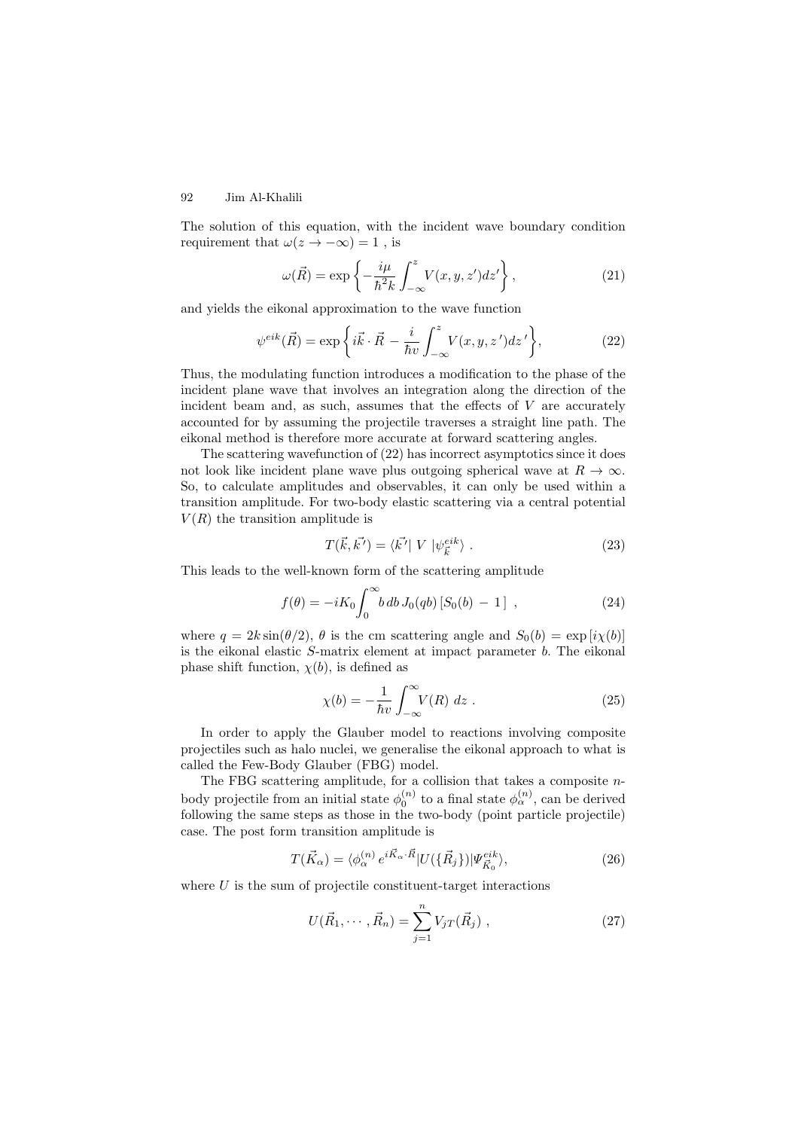The solution of this equation, with the incident wave boundary condition requirement that  $\omega(z \to -\infty) = 1$ , is

$$
\omega(\vec{R}) = \exp\left\{-\frac{i\mu}{\hbar^2 k} \int_{-\infty}^z V(x, y, z') dz'\right\},\tag{21}
$$

and yields the eikonal approximation to the wave function

$$
\psi^{eik}(\vec{R}) = \exp\left\{i\vec{k}\cdot\vec{R} - \frac{i}{\hbar v}\int_{-\infty}^{z} V(x, y, z')dz'\right\},\tag{22}
$$

Thus, the modulating function introduces a modification to the phase of the incident plane wave that involves an integration along the direction of the incident beam and, as such, assumes that the effects of  $V$  are accurately accounted for by assuming the projectile traverses a straight line path. The eikonal method is therefore more accurate at forward scattering angles.

The scattering wavefunction of (22) has incorrect asymptotics since it does not look like incident plane wave plus outgoing spherical wave at  $R \to \infty$ . So, to calculate amplitudes and observables, it can only be used within a transition amplitude. For two-body elastic scattering via a central potential  $V(R)$  the transition amplitude is

$$
T(\vec{k}, \vec{k'}) = \langle \vec{k'} | V | \psi_{\vec{k}}^{eik} \rangle . \tag{23}
$$

This leads to the well-known form of the scattering amplitude

$$
f(\theta) = -iK_0 \int_0^\infty b \, db \, J_0(qb) \left[ S_0(b) - 1 \right] \,, \tag{24}
$$

where  $q = 2k \sin(\theta/2)$ ,  $\theta$  is the cm scattering angle and  $S_0(b) = \exp[i\chi(b)]$ is the eikonal elastic S-matrix element at impact parameter b. The eikonal phase shift function,  $\chi(b)$ , is defined as

$$
\chi(b) = -\frac{1}{\hbar v} \int_{-\infty}^{\infty} V(R) dz . \qquad (25)
$$

In order to apply the Glauber model to reactions involving composite projectiles such as halo nuclei, we generalise the eikonal approach to what is called the Few-Body Glauber (FBG) model.

The FBG scattering amplitude, for a collision that takes a composite  $n$ body projectile from an initial state  $\phi_0^{(n)}$  to a final state  $\phi_\alpha^{(n)}$ , can be derived following the same steps as those in the two-body (point particle projectile) case. The post form transition amplitude is

$$
T(\vec{K}_{\alpha}) = \langle \phi_{\alpha}^{(n)} e^{i\vec{K}_{\alpha} \cdot \vec{R}} | U(\{\vec{R}_j\}) | \Psi_{\vec{K}_0}^{eik} \rangle, \tag{26}
$$

where  $U$  is the sum of projectile constituent-target interactions

$$
U(\vec{R}_1, \cdots, \vec{R}_n) = \sum_{j=1}^n V_{jT}(\vec{R}_j) , \qquad (27)
$$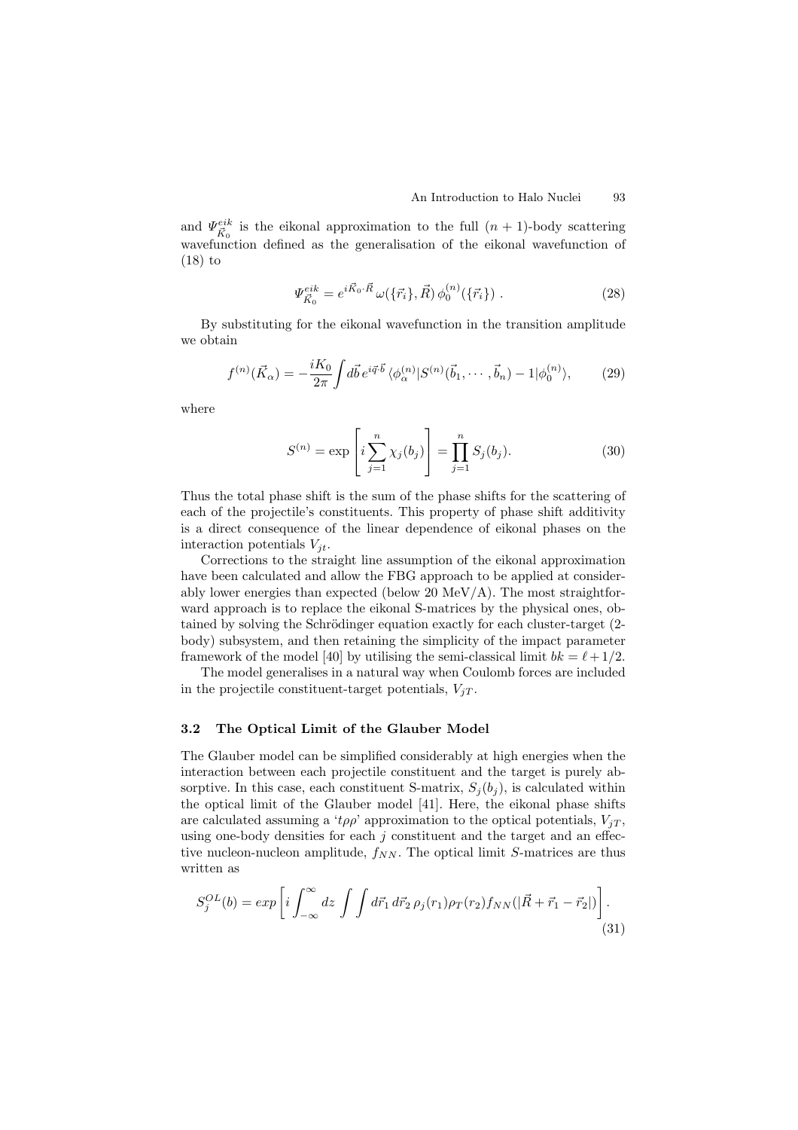and  $\Psi_{\vec{K}_0}^{eik}$  is the eikonal approximation to the full  $(n + 1)$ -body scattering wavefunction defined as the generalisation of the eikonal wavefunction of (18) to

$$
\Psi_{\vec{K}_0}^{eik} = e^{i\vec{K}_0 \cdot \vec{R}} \,\omega(\{\vec{r}_i\}, \vec{R}) \,\phi_0^{(n)}(\{\vec{r}_i\}) \,. \tag{28}
$$

By substituting for the eikonal wavefunction in the transition amplitude we obtain

$$
f^{(n)}(\vec{K}_{\alpha}) = -\frac{iK_0}{2\pi} \int d\vec{b} \, e^{i\vec{q}\cdot\vec{b}} \, \langle \phi_{\alpha}^{(n)} | S^{(n)}(\vec{b}_1, \cdots, \vec{b}_n) - 1 | \phi_0^{(n)} \rangle, \tag{29}
$$

where

$$
S^{(n)} = \exp\left[i\sum_{j=1}^{n} \chi_j(b_j)\right] = \prod_{j=1}^{n} S_j(b_j).
$$
 (30)

Thus the total phase shift is the sum of the phase shifts for the scattering of each of the projectile's constituents. This property of phase shift additivity is a direct consequence of the linear dependence of eikonal phases on the interaction potentials  $V_{it}$ .

Corrections to the straight line assumption of the eikonal approximation have been calculated and allow the FBG approach to be applied at considerably lower energies than expected (below 20  $MeV/A$ ). The most straightforward approach is to replace the eikonal S-matrices by the physical ones, obtained by solving the Schrödinger equation exactly for each cluster-target (2body) subsystem, and then retaining the simplicity of the impact parameter framework of the model [40] by utilising the semi-classical limit  $bk = \ell + 1/2$ .

The model generalises in a natural way when Coulomb forces are included in the projectile constituent-target potentials,  $V_{iT}$ .

#### **3.2 The Optical Limit of the Glauber Model**

The Glauber model can be simplified considerably at high energies when the interaction between each projectile constituent and the target is purely absorptive. In this case, each constituent S-matrix,  $S_i(b_i)$ , is calculated within the optical limit of the Glauber model [41]. Here, the eikonal phase shifts are calculated assuming a ' $t\rho\rho$ ' approximation to the optical potentials,  $V_{iT}$ , using one-body densities for each  $j$  constituent and the target and an effective nucleon-nucleon amplitude,  $f_{NN}$ . The optical limit S-matrices are thus written as

$$
S_j^{OL}(b) = exp\left[i\int_{-\infty}^{\infty} dz \int \int d\vec{r}_1 d\vec{r}_2 \rho_j(r_1) \rho_T(r_2) f_{NN}(|\vec{R} + \vec{r}_1 - \vec{r}_2|)\right].
$$
\n(31)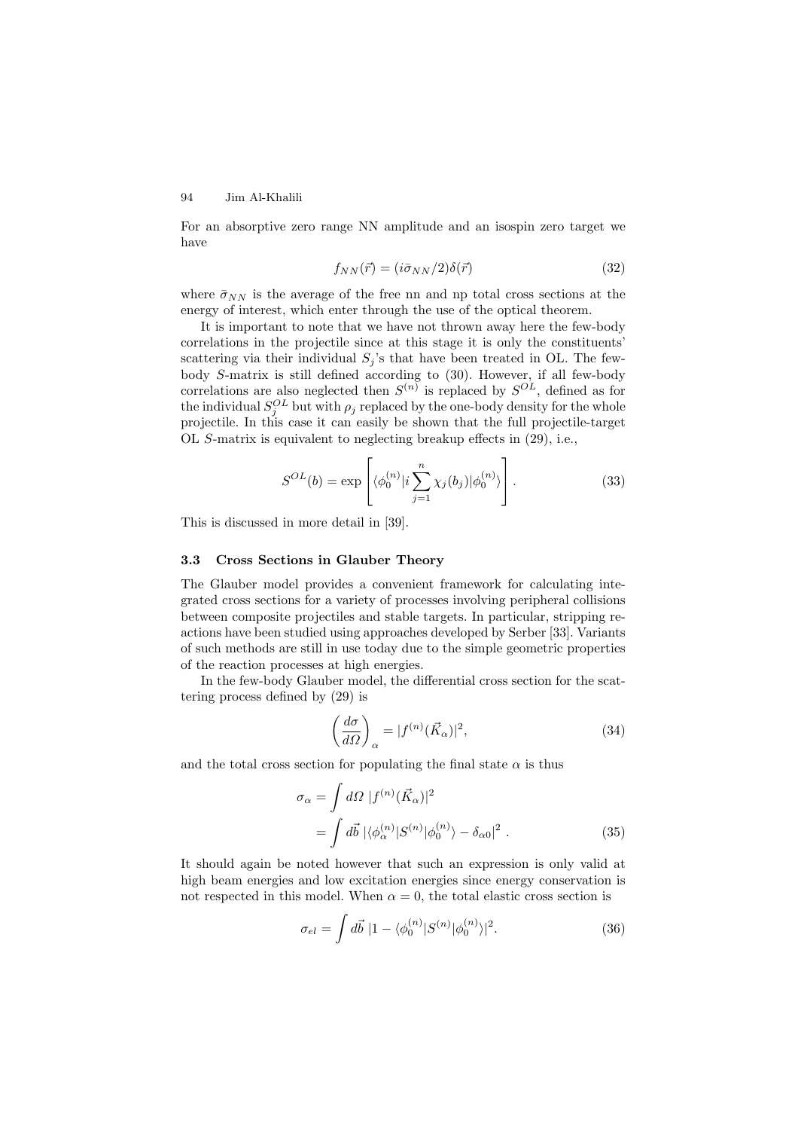For an absorptive zero range NN amplitude and an isospin zero target we have

$$
f_{NN}(\vec{r}) = (i\bar{\sigma}_{NN}/2)\delta(\vec{r})\tag{32}
$$

where  $\bar{\sigma}_{NN}$  is the average of the free nn and np total cross sections at the energy of interest, which enter through the use of the optical theorem.

It is important to note that we have not thrown away here the few-body correlations in the projectile since at this stage it is only the constituents' scattering via their individual  $S_i$ 's that have been treated in OL. The fewbody S-matrix is still defined according to (30). However, if all few-body correlations are also neglected then  $S^{(n)}$  is replaced by  $S^{OL}$ , defined as for the individual  $S_j^{OL}$  but with  $\rho_j$  replaced by the one-body density for the whole projectile. In this case it can easily be shown that the full projectile-target OL S-matrix is equivalent to neglecting breakup effects in (29), i.e.,

$$
S^{OL}(b) = \exp\left[\langle \phi_0^{(n)} | i \sum_{j=1}^n \chi_j(b_j) | \phi_0^{(n)} \rangle \right]. \tag{33}
$$

This is discussed in more detail in [39].

### **3.3 Cross Sections in Glauber Theory**

The Glauber model provides a convenient framework for calculating integrated cross sections for a variety of processes involving peripheral collisions between composite projectiles and stable targets. In particular, stripping reactions have been studied using approaches developed by Serber [33]. Variants of such methods are still in use today due to the simple geometric properties of the reaction processes at high energies.

In the few-body Glauber model, the differential cross section for the scattering process defined by (29) is

$$
\left(\frac{d\sigma}{d\Omega}\right)_{\alpha} = |f^{(n)}(\vec{K}_{\alpha})|^2,\tag{34}
$$

and the total cross section for populating the final state  $\alpha$  is thus

$$
\sigma_{\alpha} = \int d\Omega \, |f^{(n)}(\vec{K}_{\alpha})|^2
$$
  
= 
$$
\int d\vec{b} \, |\langle \phi_{\alpha}^{(n)} | S^{(n)} | \phi_{0}^{(n)} \rangle - \delta_{\alpha 0}|^2 . \qquad (35)
$$

It should again be noted however that such an expression is only valid at high beam energies and low excitation energies since energy conservation is not respected in this model. When  $\alpha = 0$ , the total elastic cross section is

$$
\sigma_{el} = \int d\vec{b} \, |1 - \langle \phi_0^{(n)} | S^{(n)} | \phi_0^{(n)} \rangle |^2.
$$
 (36)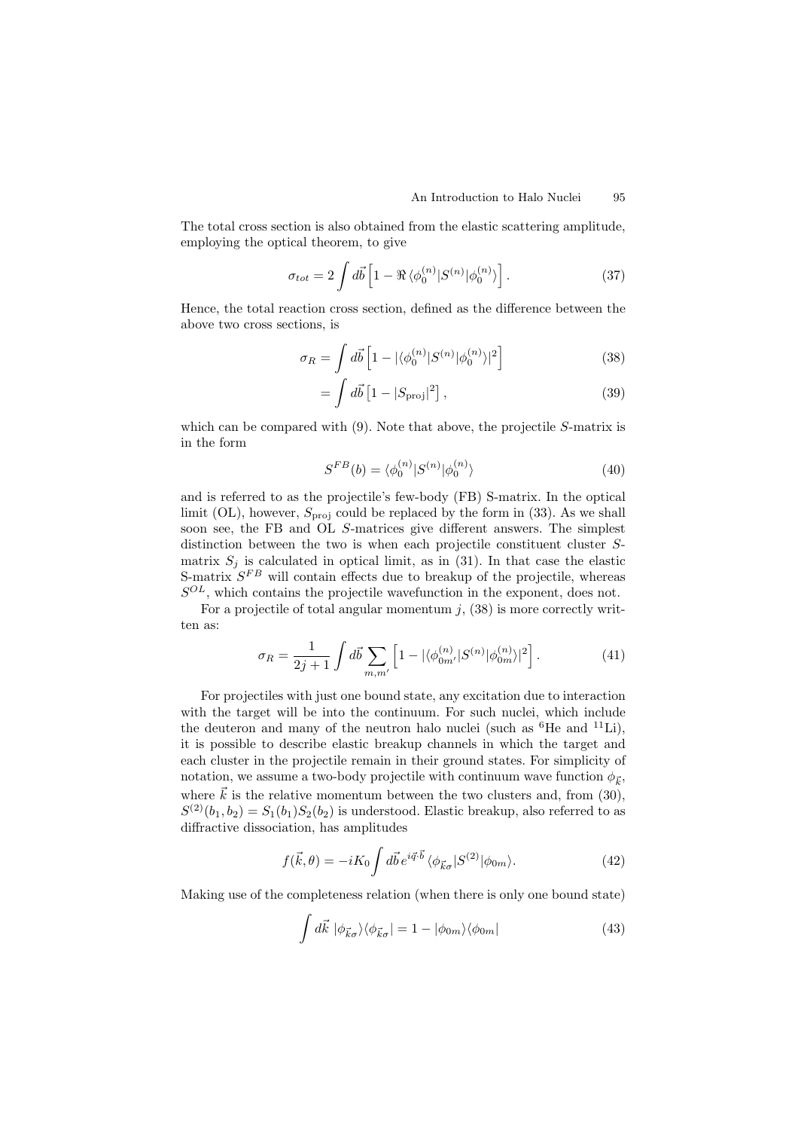The total cross section is also obtained from the elastic scattering amplitude, employing the optical theorem, to give

$$
\sigma_{tot} = 2 \int d\vec{b} \left[ 1 - \Re \langle \phi_0^{(n)} | S^{(n)} | \phi_0^{(n)} \rangle \right]. \tag{37}
$$

Hence, the total reaction cross section, defined as the difference between the above two cross sections, is

$$
\sigma_R = \int d\vec{b} \left[ 1 - |\langle \phi_0^{(n)} | S^{(n)} | \phi_0^{(n)} \rangle|^2 \right] \tag{38}
$$

$$
= \int d\vec{b} \left[1 - |S_{\text{proj}}|^2\right],\tag{39}
$$

which can be compared with  $(9)$ . Note that above, the projectile S-matrix is in the form

$$
S^{FB}(b) = \langle \phi_0^{(n)} | S^{(n)} | \phi_0^{(n)} \rangle \tag{40}
$$

and is referred to as the projectile's few-body (FB) S-matrix. In the optical limit (OL), however,  $S_{\text{proj}}$  could be replaced by the form in (33). As we shall soon see, the FB and OL S-matrices give different answers. The simplest distinction between the two is when each projectile constituent cluster Smatrix  $S_i$  is calculated in optical limit, as in (31). In that case the elastic S-matrix  $S^{FB}$  will contain effects due to breakup of the projectile, whereas  $S^{OL}$ , which contains the projectile wavefunction in the exponent, does not.

For a projectile of total angular momentum  $j$ , (38) is more correctly written as:

$$
\sigma_R = \frac{1}{2j+1} \int d\vec{b} \sum_{m,m'} \left[ 1 - |\langle \phi_{0m'}^{(n)} | S^{(n)} | \phi_{0m}^{(n)} \rangle|^2 \right]. \tag{41}
$$

For projectiles with just one bound state, any excitation due to interaction with the target will be into the continuum. For such nuclei, which include the deuteron and many of the neutron halo nuclei (such as  ${}^{6}$ He and  ${}^{11}$ Li), it is possible to describe elastic breakup channels in which the target and each cluster in the projectile remain in their ground states. For simplicity of notation, we assume a two-body projectile with continuum wave function  $\phi_{\vec{k}},$ where  $\vec{k}$  is the relative momentum between the two clusters and, from (30),  $S^{(2)}(b_1, b_2) = S_1(b_1)S_2(b_2)$  is understood. Elastic breakup, also referred to as diffractive dissociation, has amplitudes

$$
f(\vec{k},\theta) = -iK_0 \int d\vec{b} \, e^{i\vec{q}\cdot\vec{b}} \, \langle \phi_{\vec{k}\sigma} | S^{(2)} | \phi_{0m} \rangle. \tag{42}
$$

Making use of the completeness relation (when there is only one bound state)

$$
\int d\vec{k} \, |\phi_{\vec{k}\sigma}\rangle\langle\phi_{\vec{k}\sigma}| = 1 - |\phi_{0m}\rangle\langle\phi_{0m}| \tag{43}
$$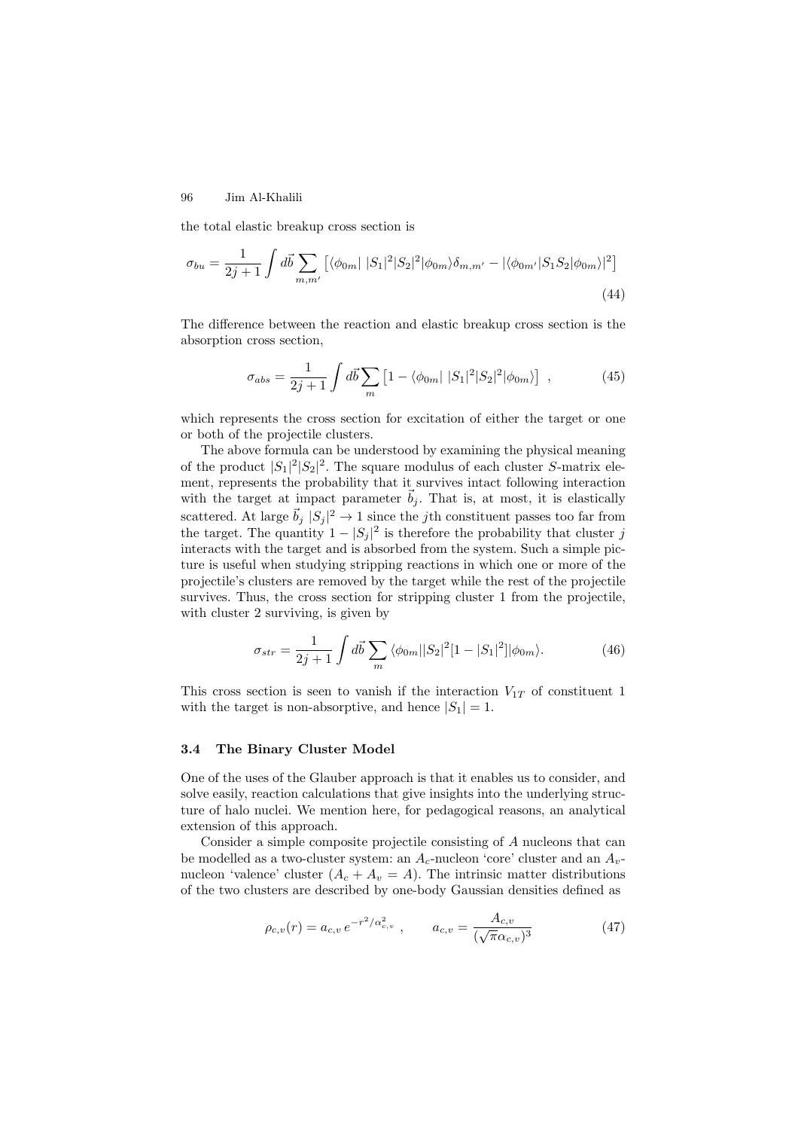the total elastic breakup cross section is

$$
\sigma_{bu} = \frac{1}{2j+1} \int d\vec{b} \sum_{m,m'} \left[ \langle \phi_{0m} | \, |S_1|^2 |S_2|^2 | \phi_{0m} \rangle \delta_{m,m'} - |\langle \phi_{0m'} | S_1 S_2 | \phi_{0m} \rangle|^2 \right] \tag{44}
$$

The difference between the reaction and elastic breakup cross section is the absorption cross section,

$$
\sigma_{abs} = \frac{1}{2j+1} \int d\vec{b} \sum_{m} \left[ 1 - \langle \phi_{0m} | \ |S_1|^2 |S_2|^2 | \phi_{0m} \rangle \right] \;, \tag{45}
$$

which represents the cross section for excitation of either the target or one or both of the projectile clusters.

The above formula can be understood by examining the physical meaning of the product  $|S_1|^2 |S_2|^2$ . The square modulus of each cluster S-matrix element, represents the probability that it survives intact following interaction with the target at impact parameter  $b_i$ . That is, at most, it is elastically scattered. At large  $\vec{b}_j |S_j|^2 \to 1$  since the jth constituent passes too far from the target. The quantity  $1 - |S_j|^2$  is therefore the probability that cluster j interacts with the target and is absorbed from the system. Such a simple picture is useful when studying stripping reactions in which one or more of the projectile's clusters are removed by the target while the rest of the projectile survives. Thus, the cross section for stripping cluster 1 from the projectile, with cluster 2 surviving, is given by

$$
\sigma_{str} = \frac{1}{2j+1} \int d\vec{b} \sum_{m} \langle \phi_{0m} ||S_2|^2 [1 - |S_1|^2] | \phi_{0m} \rangle.
$$
 (46)

This cross section is seen to vanish if the interaction  $V_{1T}$  of constituent 1 with the target is non-absorptive, and hence  $|S_1| = 1$ .

#### **3.4 The Binary Cluster Model**

One of the uses of the Glauber approach is that it enables us to consider, and solve easily, reaction calculations that give insights into the underlying structure of halo nuclei. We mention here, for pedagogical reasons, an analytical extension of this approach.

Consider a simple composite projectile consisting of A nucleons that can be modelled as a two-cluster system: an  $A_c$ -nucleon 'core' cluster and an  $A_v$ nucleon 'valence' cluster  $(A_c + A_v = A)$ . The intrinsic matter distributions of the two clusters are described by one-body Gaussian densities defined as

$$
\rho_{c,v}(r) = a_{c,v} e^{-r^2/\alpha_{c,v}^2}, \qquad a_{c,v} = \frac{A_{c,v}}{(\sqrt{\pi} \alpha_{c,v})^3}
$$
(47)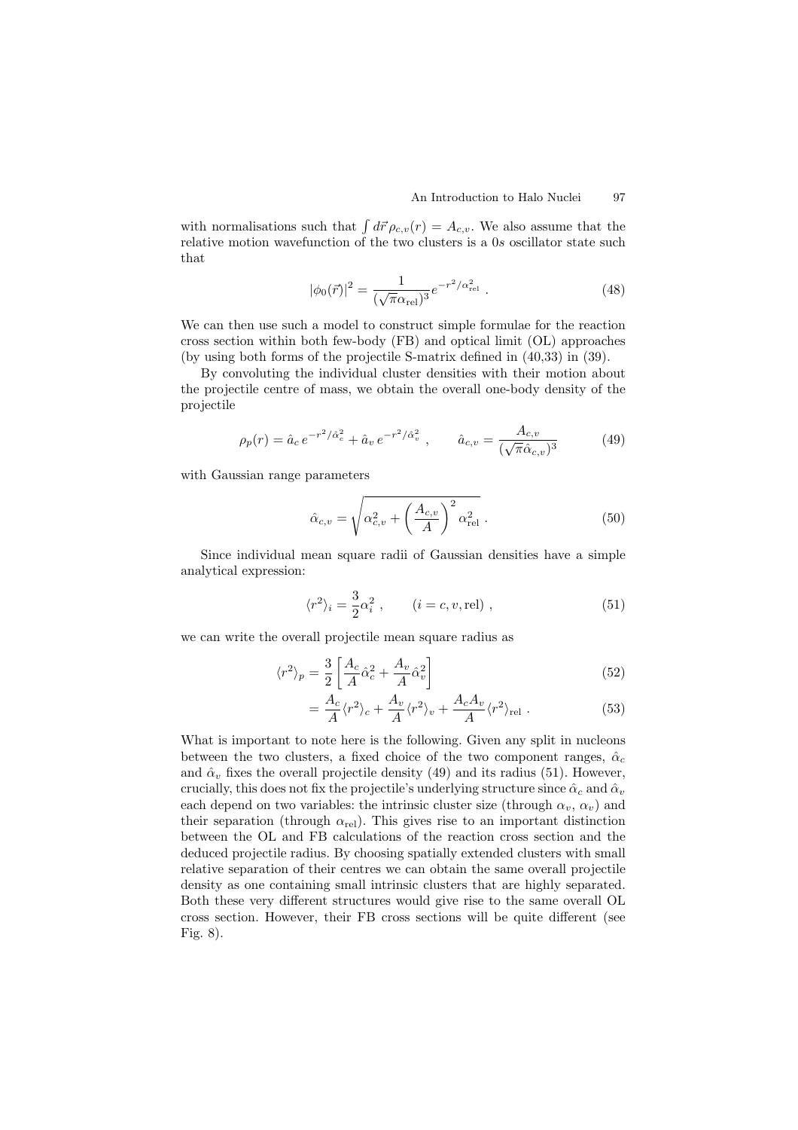with normalisations such that  $\int d\vec{r} \rho_{c,v}(r) = A_{c,v}$ . We also assume that the relative motion wavefunction of the two clusters is a 0s oscillator state such that

$$
|\phi_0(\vec{r})|^2 = \frac{1}{(\sqrt{\pi}\alpha_{\text{rel}})^3} e^{-r^2/\alpha_{\text{rel}}^2} . \tag{48}
$$

We can then use such a model to construct simple formulae for the reaction cross section within both few-body (FB) and optical limit (OL) approaches (by using both forms of the projectile S-matrix defined in (40,33) in (39).

By convoluting the individual cluster densities with their motion about the projectile centre of mass, we obtain the overall one-body density of the projectile

$$
\rho_p(r) = \hat{a}_c e^{-r^2/\hat{\alpha}_c^2} + \hat{a}_v e^{-r^2/\hat{\alpha}_v^2}, \qquad \hat{a}_{c,v} = \frac{A_{c,v}}{(\sqrt{\pi} \hat{\alpha}_{c,v})^3}
$$
(49)

with Gaussian range parameters

$$
\hat{\alpha}_{c,v} = \sqrt{\alpha_{c,v}^2 + \left(\frac{A_{c,v}}{A}\right)^2 \alpha_{\text{rel}}^2} \,. \tag{50}
$$

Since individual mean square radii of Gaussian densities have a simple analytical expression:

$$
\langle r^2 \rangle_i = \frac{3}{2} \alpha_i^2 , \qquad (i = c, v, \text{rel}) , \qquad (51)
$$

we can write the overall projectile mean square radius as

$$
\langle r^2 \rangle_p = \frac{3}{2} \left[ \frac{A_c}{A} \hat{\alpha}_c^2 + \frac{A_v}{A} \hat{\alpha}_v^2 \right]
$$
 (52)

$$
= \frac{A_c}{A} \langle r^2 \rangle_c + \frac{A_v}{A} \langle r^2 \rangle_v + \frac{A_c A_v}{A} \langle r^2 \rangle_{\text{rel}} . \tag{53}
$$

What is important to note here is the following. Given any split in nucleons between the two clusters, a fixed choice of the two component ranges,  $\hat{\alpha}_c$ and  $\hat{\alpha}_v$  fixes the overall projectile density (49) and its radius (51). However, crucially, this does not fix the projectile's underlying structure since  $\hat{\alpha}_c$  and  $\hat{\alpha}_v$ each depend on two variables: the intrinsic cluster size (through  $\alpha_v$ ,  $\alpha_v$ ) and their separation (through  $\alpha_{rel}$ ). This gives rise to an important distinction between the OL and FB calculations of the reaction cross section and the deduced projectile radius. By choosing spatially extended clusters with small relative separation of their centres we can obtain the same overall projectile density as one containing small intrinsic clusters that are highly separated. Both these very different structures would give rise to the same overall OL cross section. However, their FB cross sections will be quite different (see Fig. 8).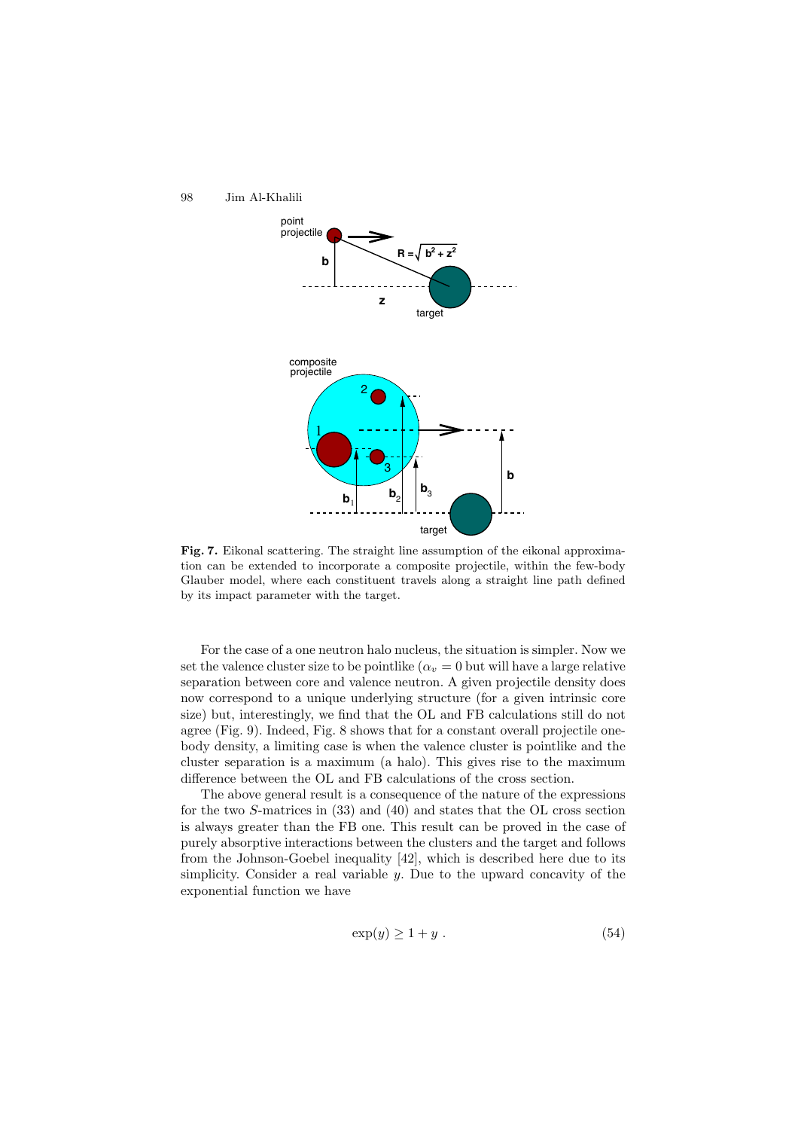

**Fig. 7.** Eikonal scattering. The straight line assumption of the eikonal approximation can be extended to incorporate a composite projectile, within the few-body Glauber model, where each constituent travels along a straight line path defined by its impact parameter with the target.

For the case of a one neutron halo nucleus, the situation is simpler. Now we set the valence cluster size to be pointlike  $(\alpha_v = 0$  but will have a large relative separation between core and valence neutron. A given projectile density does now correspond to a unique underlying structure (for a given intrinsic core size) but, interestingly, we find that the OL and FB calculations still do not agree (Fig. 9). Indeed, Fig. 8 shows that for a constant overall projectile onebody density, a limiting case is when the valence cluster is pointlike and the cluster separation is a maximum (a halo). This gives rise to the maximum difference between the OL and FB calculations of the cross section.

The above general result is a consequence of the nature of the expressions for the two S-matrices in (33) and (40) and states that the OL cross section is always greater than the FB one. This result can be proved in the case of purely absorptive interactions between the clusters and the target and follows from the Johnson-Goebel inequality [42], which is described here due to its simplicity. Consider a real variable  $y$ . Due to the upward concavity of the exponential function we have

$$
\exp(y) \ge 1 + y \tag{54}
$$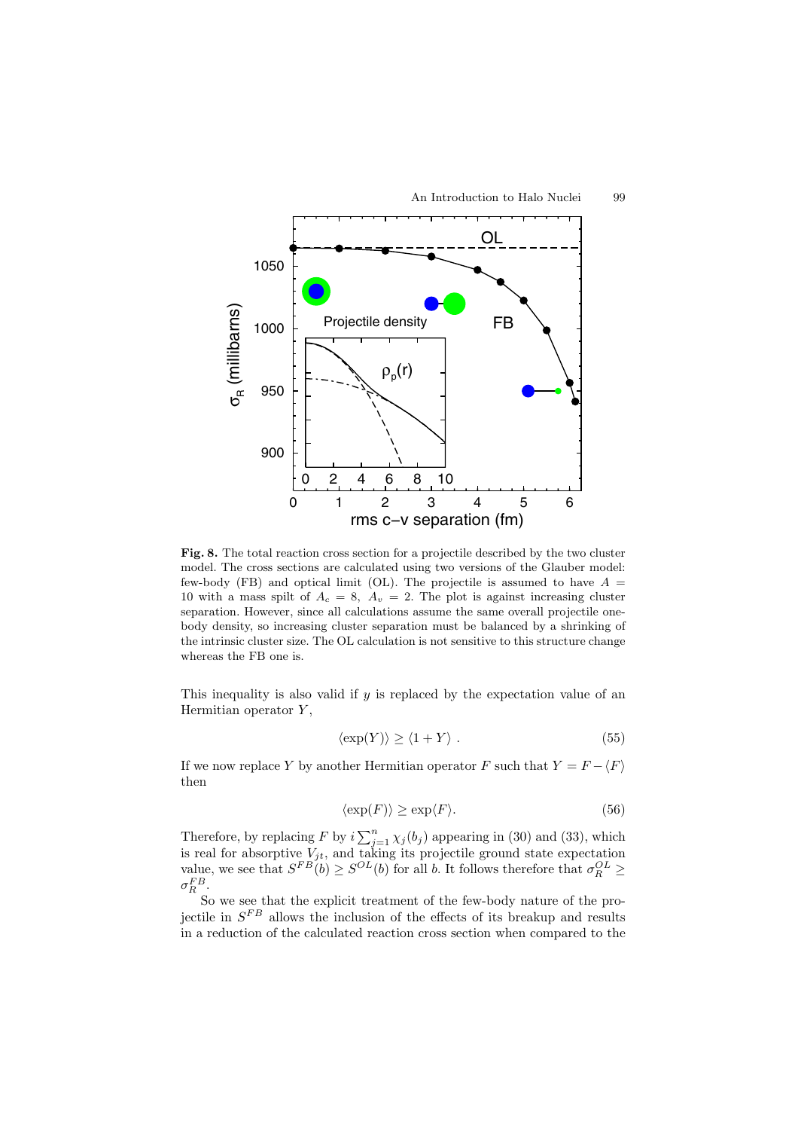

**Fig. 8.** The total reaction cross section for a projectile described by the two cluster model. The cross sections are calculated using two versions of the Glauber model: few-body (FB) and optical limit (OL). The projectile is assumed to have  $A =$ 10 with a mass spilt of  $A_c = 8$ ,  $A_v = 2$ . The plot is against increasing cluster separation. However, since all calculations assume the same overall projectile onebody density, so increasing cluster separation must be balanced by a shrinking of the intrinsic cluster size. The OL calculation is not sensitive to this structure change whereas the FB one is.

This inequality is also valid if  $y$  is replaced by the expectation value of an Hermitian operator  $Y$ ,

$$
\langle \exp(Y) \rangle \ge \langle 1 + Y \rangle . \tag{55}
$$

If we now replace Y by another Hermitian operator F such that  $Y = F - \langle F \rangle$ then

$$
\langle \exp(F) \rangle \ge \exp\langle F \rangle. \tag{56}
$$

Therefore, by replacing F by  $i \sum_{j=1}^{n} \chi_j(b_j)$  appearing in (30) and (33), which is real for absorptive  $V_{jt}$ , and taking its projectile ground state expectation value, we see that  $S^{FB}(b) \geq S^{OL}(b)$  for all b. It follows therefore that  $\sigma_R^{OL} \geq$  $\sigma_R^{FB}.$ 

So we see that the explicit treatment of the few-body nature of the projectile in  ${\cal S}^{FB}$  allows the inclusion of the effects of its breakup and results in a reduction of the calculated reaction cross section when compared to the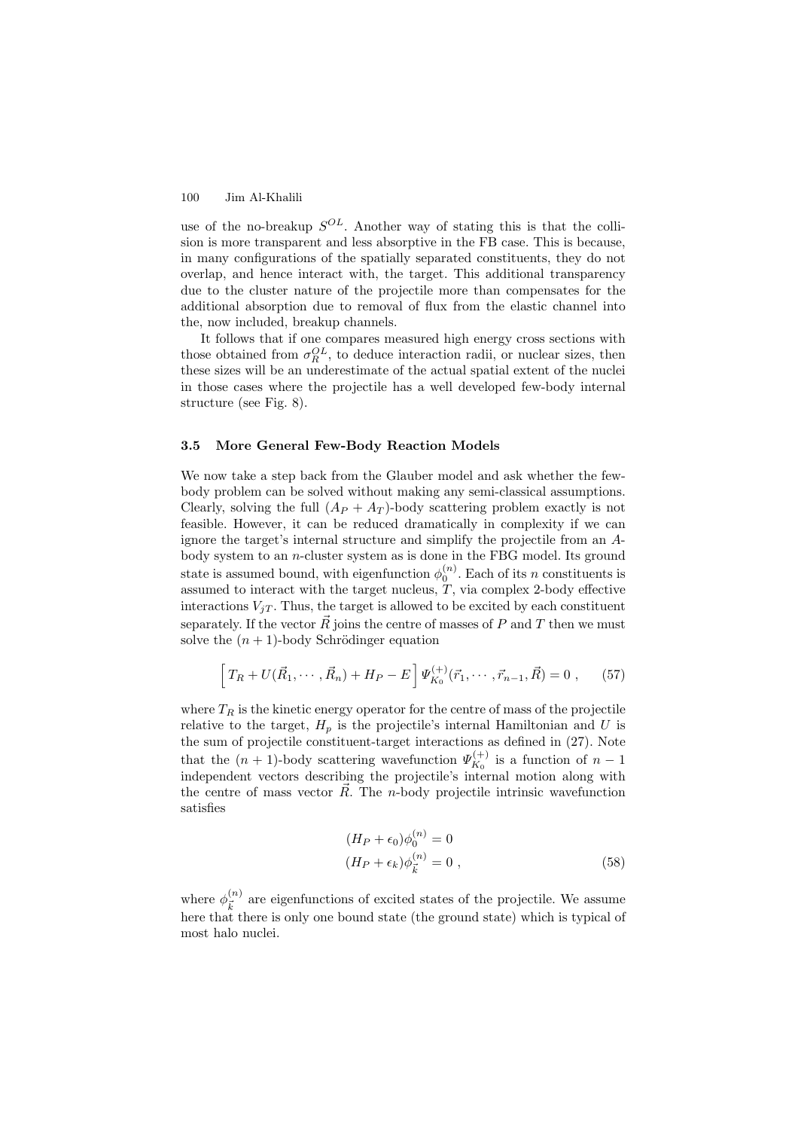use of the no-breakup  $S^{OL}$ . Another way of stating this is that the collision is more transparent and less absorptive in the FB case. This is because, in many configurations of the spatially separated constituents, they do not overlap, and hence interact with, the target. This additional transparency due to the cluster nature of the projectile more than compensates for the additional absorption due to removal of flux from the elastic channel into the, now included, breakup channels.

It follows that if one compares measured high energy cross sections with those obtained from  $\sigma_R^{OL}$ , to deduce interaction radii, or nuclear sizes, then these sizes will be an underestimate of the actual spatial extent of the nuclei in those cases where the projectile has a well developed few-body internal structure (see Fig. 8).

### **3.5 More General Few-Body Reaction Models**

We now take a step back from the Glauber model and ask whether the fewbody problem can be solved without making any semi-classical assumptions. Clearly, solving the full  $(A_P + A_T)$ -body scattering problem exactly is not feasible. However, it can be reduced dramatically in complexity if we can ignore the target's internal structure and simplify the projectile from an Abody system to an n-cluster system as is done in the FBG model. Its ground state is assumed bound, with eigenfunction  $\phi_0^{(n)}$ . Each of its n constituents is assumed to interact with the target nucleus,  $T$ , via complex 2-body effective interactions  $V_{jT}$ . Thus, the target is allowed to be excited by each constituent separately. If the vector  $\vec{R}$  joins the centre of masses of P and T then we must solve the  $(n + 1)$ -body Schrödinger equation

$$
\[T_R + U(\vec{R}_1, \cdots, \vec{R}_n) + H_P - E\] \Psi_{K_0}^{(+)}(\vec{r}_1, \cdots, \vec{r}_{n-1}, \vec{R}) = 0 \;, \tag{57}
$$

where  $T_R$  is the kinetic energy operator for the centre of mass of the projectile relative to the target,  $H_p$  is the projectile's internal Hamiltonian and U is the sum of projectile constituent-target interactions as defined in (27). Note that the  $(n + 1)$ -body scattering wavefunction  $\Psi_{K_0}^{(+)}$  is a function of  $n - 1$ independent vectors describing the projectile's internal motion along with the centre of mass vector  $\vec{R}$ . The *n*-body projectile intrinsic wavefunction satisfies

$$
(H_P + \epsilon_0)\phi_0^{(n)} = 0
$$
  

$$
(H_P + \epsilon_k)\phi_{\vec{k}}^{(n)} = 0,
$$
 (58)

where  $\phi_{\vec{k}}^{(n)}$  are eigenfunctions of excited states of the projectile. We assume here that there is only one bound state (the ground state) which is typical of most halo nuclei.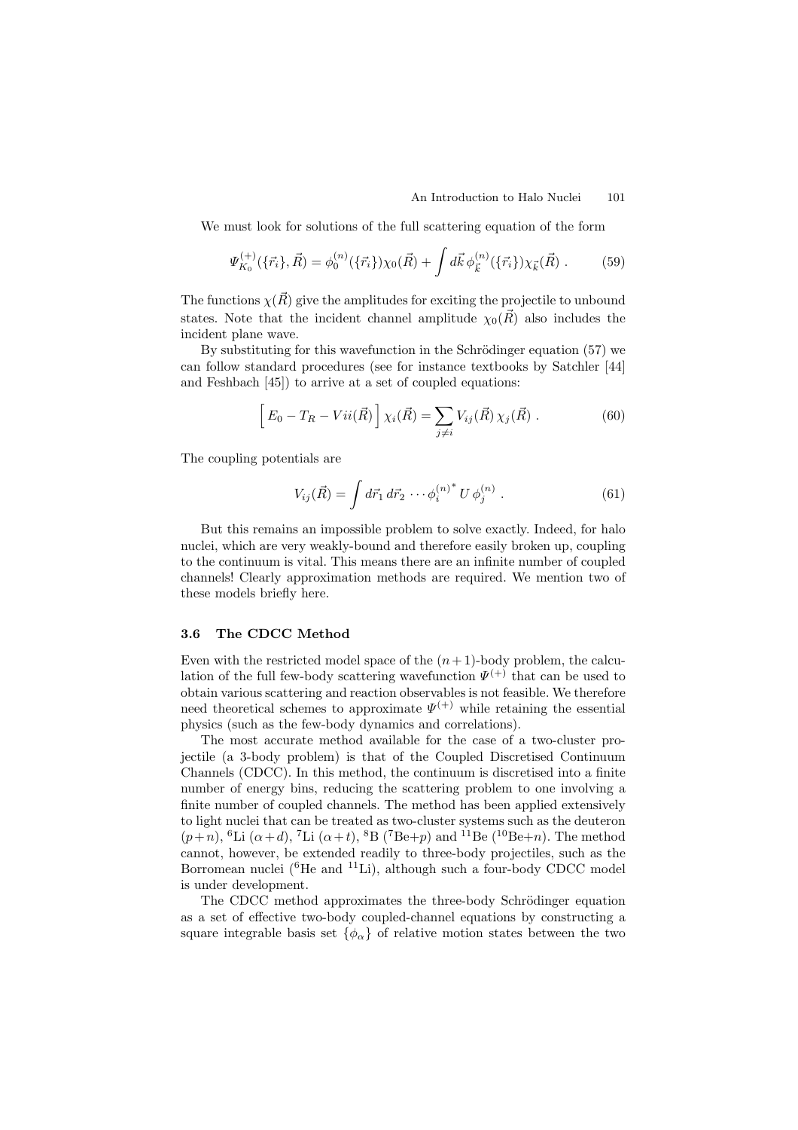We must look for solutions of the full scattering equation of the form

$$
\Psi_{K_0}^{(+)}(\{\vec{r}_i\},\vec{R}) = \phi_0^{(n)}(\{\vec{r}_i\})\chi_0(\vec{R}) + \int d\vec{k} \,\phi_{\vec{k}}^{(n)}(\{\vec{r}_i\})\chi_{\vec{k}}(\vec{R})\,. \tag{59}
$$

The functions  $\chi(\vec{R})$  give the amplitudes for exciting the projectile to unbound states. Note that the incident channel amplitude  $\chi_0(\vec{R})$  also includes the incident plane wave.

By substituting for this wavefunction in the Schrödinger equation  $(57)$  we can follow standard procedures (see for instance textbooks by Satchler [44] and Feshbach [45]) to arrive at a set of coupled equations:

$$
\left[E_0 - T_R - Vii(\vec{R})\right]\chi_i(\vec{R}) = \sum_{j \neq i} V_{ij}(\vec{R})\chi_j(\vec{R})\,. \tag{60}
$$

The coupling potentials are

$$
V_{ij}(\vec{R}) = \int d\vec{r}_1 d\vec{r}_2 \cdots \phi_i^{(n)}^* U \phi_j^{(n)} . \qquad (61)
$$

But this remains an impossible problem to solve exactly. Indeed, for halo nuclei, which are very weakly-bound and therefore easily broken up, coupling to the continuum is vital. This means there are an infinite number of coupled channels! Clearly approximation methods are required. We mention two of these models briefly here.

#### **3.6 The CDCC Method**

Even with the restricted model space of the  $(n+1)$ -body problem, the calculation of the full few-body scattering wavefunction  $\Psi^{(+)}$  that can be used to obtain various scattering and reaction observables is not feasible. We therefore need theoretical schemes to approximate  $\Psi^{(+)}$  while retaining the essential physics (such as the few-body dynamics and correlations).

The most accurate method available for the case of a two-cluster projectile (a 3-body problem) is that of the Coupled Discretised Continuum Channels (CDCC). In this method, the continuum is discretised into a finite number of energy bins, reducing the scattering problem to one involving a finite number of coupled channels. The method has been applied extensively to light nuclei that can be treated as two-cluster systems such as the deuteron  $(p+n)$ , <sup>6</sup>Li  $(\alpha+d)$ , <sup>7</sup>Li  $(\alpha+t)$ , <sup>8</sup>B (<sup>7</sup>Be+*p*) and <sup>11</sup>Be (<sup>10</sup>Be+*n*). The method cannot, however, be extended readily to three-body projectiles, such as the Borromean nuclei ( ${}^{6}$ He and  ${}^{11}$ Li), although such a four-body CDCC model is under development.

The CDCC method approximates the three-body Schrödinger equation as a set of effective two-body coupled-channel equations by constructing a square integrable basis set  $\{\phi_{\alpha}\}\$  of relative motion states between the two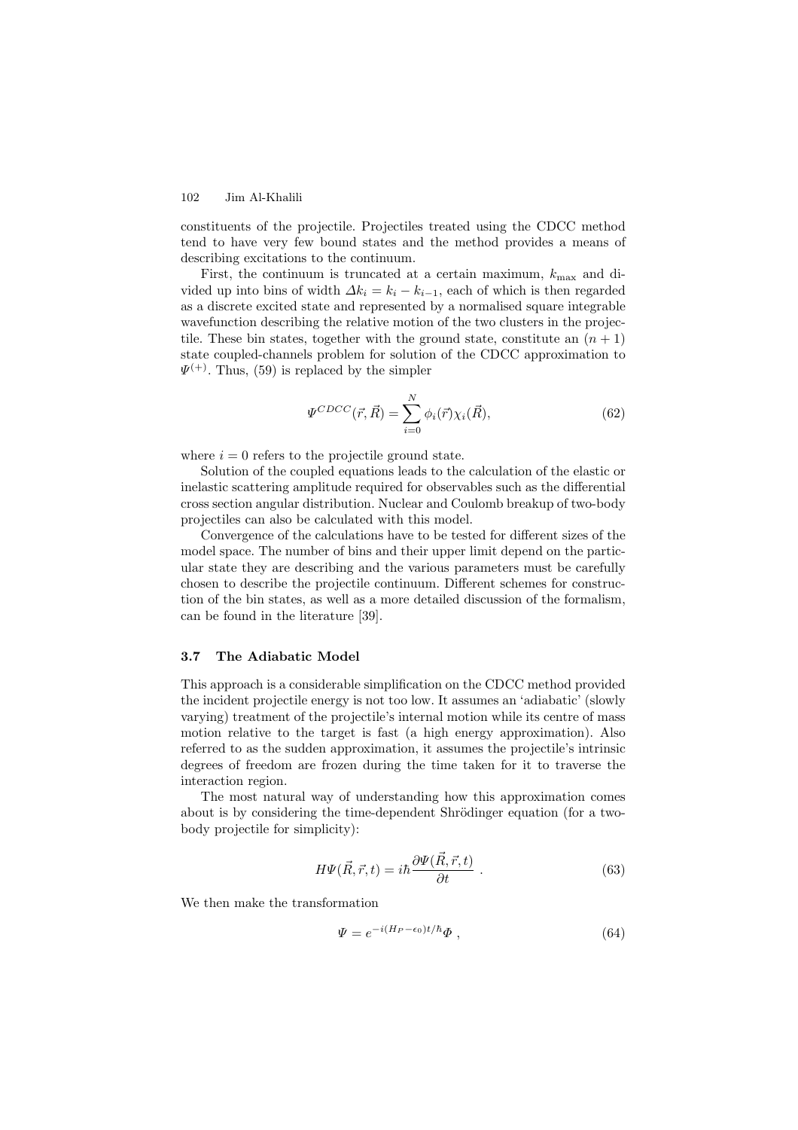constituents of the projectile. Projectiles treated using the CDCC method tend to have very few bound states and the method provides a means of describing excitations to the continuum.

First, the continuum is truncated at a certain maximum,  $k_{\text{max}}$  and divided up into bins of width  $\Delta k_i = k_i - k_{i-1}$ , each of which is then regarded as a discrete excited state and represented by a normalised square integrable wavefunction describing the relative motion of the two clusters in the projectile. These bin states, together with the ground state, constitute an  $(n + 1)$ state coupled-channels problem for solution of the CDCC approximation to  $\Psi^{(+)}$ . Thus, (59) is replaced by the simpler

$$
\Psi^{CDCC}(\vec{r}, \vec{R}) = \sum_{i=0}^{N} \phi_i(\vec{r}) \chi_i(\vec{R}), \qquad (62)
$$

where  $i = 0$  refers to the projectile ground state.

Solution of the coupled equations leads to the calculation of the elastic or inelastic scattering amplitude required for observables such as the differential cross section angular distribution. Nuclear and Coulomb breakup of two-body projectiles can also be calculated with this model.

Convergence of the calculations have to be tested for different sizes of the model space. The number of bins and their upper limit depend on the particular state they are describing and the various parameters must be carefully chosen to describe the projectile continuum. Different schemes for construction of the bin states, as well as a more detailed discussion of the formalism, can be found in the literature [39].

### **3.7 The Adiabatic Model**

This approach is a considerable simplification on the CDCC method provided the incident projectile energy is not too low. It assumes an 'adiabatic' (slowly varying) treatment of the projectile's internal motion while its centre of mass motion relative to the target is fast (a high energy approximation). Also referred to as the sudden approximation, it assumes the projectile's intrinsic degrees of freedom are frozen during the time taken for it to traverse the interaction region.

The most natural way of understanding how this approximation comes about is by considering the time-dependent Shrödinger equation (for a twobody projectile for simplicity):

$$
H\Psi(\vec{R}, \vec{r}, t) = i\hbar \frac{\partial \Psi(\vec{R}, \vec{r}, t)}{\partial t} \tag{63}
$$

We then make the transformation

$$
\Psi = e^{-i(H_P - \epsilon_0)t/\hbar} \Phi , \qquad (64)
$$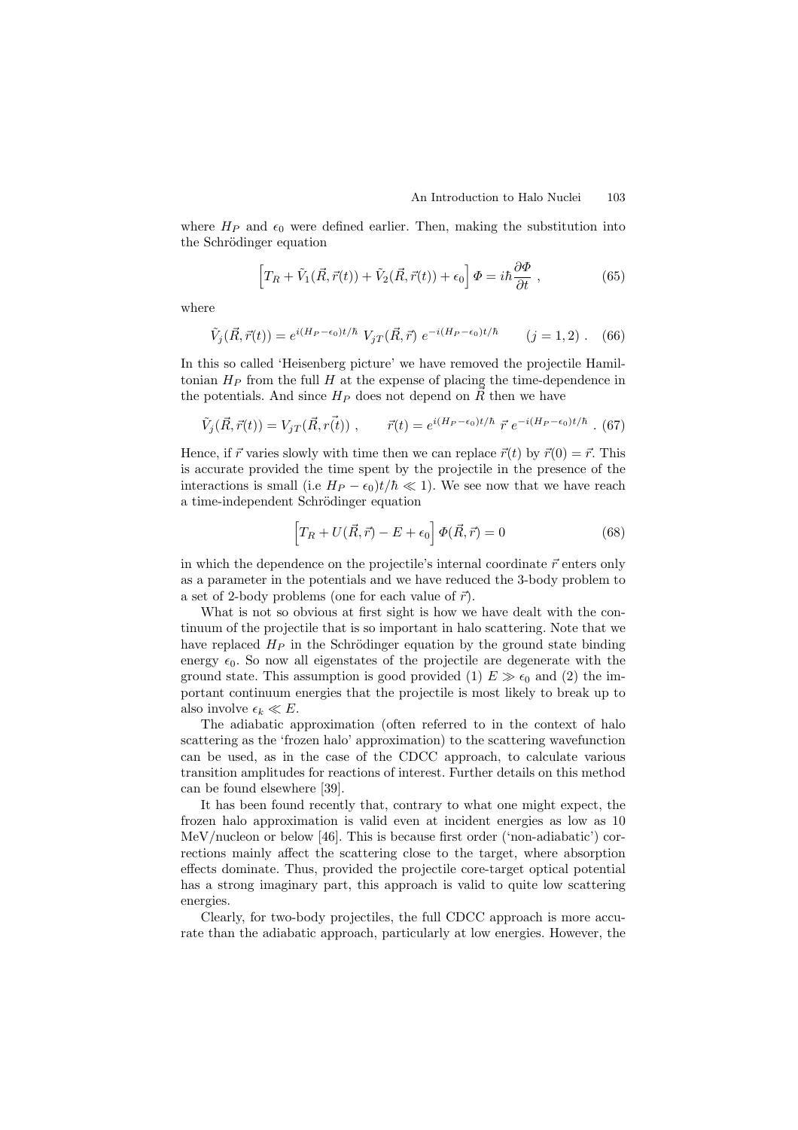where  $H_P$  and  $\epsilon_0$  were defined earlier. Then, making the substitution into the Schrödinger equation

$$
\[T_R + \tilde{V}_1(\vec{R}, \vec{r}(t)) + \tilde{V}_2(\vec{R}, \vec{r}(t)) + \epsilon_0\]\Phi = i\hbar \frac{\partial \Phi}{\partial t},\tag{65}
$$

where

$$
\tilde{V}_j(\vec{R}, \vec{r}(t)) = e^{i(H_P - \epsilon_0)t/\hbar} V_{jT}(\vec{R}, \vec{r}) e^{-i(H_P - \epsilon_0)t/\hbar} \qquad (j = 1, 2). \quad (66)
$$

In this so called 'Heisenberg picture' we have removed the projectile Hamiltonian  $H_P$  from the full H at the expense of placing the time-dependence in the potentials. And since  $H_P$  does not depend on R then we have

$$
\tilde{V}_j(\vec{R}, \vec{r}(t)) = V_{jT}(\vec{R}, r(\vec{t})) , \qquad \vec{r}(t) = e^{i(H_P - \epsilon_0)t/\hbar} \vec{r} e^{-i(H_P - \epsilon_0)t/\hbar} .
$$
 (67)

Hence, if  $\vec{r}$  varies slowly with time then we can replace  $\vec{r}(t)$  by  $\vec{r}(0) = \vec{r}$ . This is accurate provided the time spent by the projectile in the presence of the interactions is small (i.e  $H_P - \epsilon_0 t / \hbar \ll 1$ ). We see now that we have reach a time-independent Schrödinger equation

$$
\left[T_R + U(\vec{R}, \vec{r}) - E + \epsilon_0\right] \Phi(\vec{R}, \vec{r}) = 0 \tag{68}
$$

in which the dependence on the projectile's internal coordinate  $\vec{r}$  enters only as a parameter in the potentials and we have reduced the 3-body problem to a set of 2-body problems (one for each value of  $\vec{r}$ ).

What is not so obvious at first sight is how we have dealt with the continuum of the projectile that is so important in halo scattering. Note that we have replaced  $H_P$  in the Schrödinger equation by the ground state binding energy  $\epsilon_0$ . So now all eigenstates of the projectile are degenerate with the ground state. This assumption is good provided (1)  $E \gg \epsilon_0$  and (2) the important continuum energies that the projectile is most likely to break up to also involve  $\epsilon_k \ll E$ .

The adiabatic approximation (often referred to in the context of halo scattering as the 'frozen halo' approximation) to the scattering wavefunction can be used, as in the case of the CDCC approach, to calculate various transition amplitudes for reactions of interest. Further details on this method can be found elsewhere [39].

It has been found recently that, contrary to what one might expect, the frozen halo approximation is valid even at incident energies as low as 10 MeV/nucleon or below [46]. This is because first order ('non-adiabatic') corrections mainly affect the scattering close to the target, where absorption effects dominate. Thus, provided the projectile core-target optical potential has a strong imaginary part, this approach is valid to quite low scattering energies.

Clearly, for two-body projectiles, the full CDCC approach is more accurate than the adiabatic approach, particularly at low energies. However, the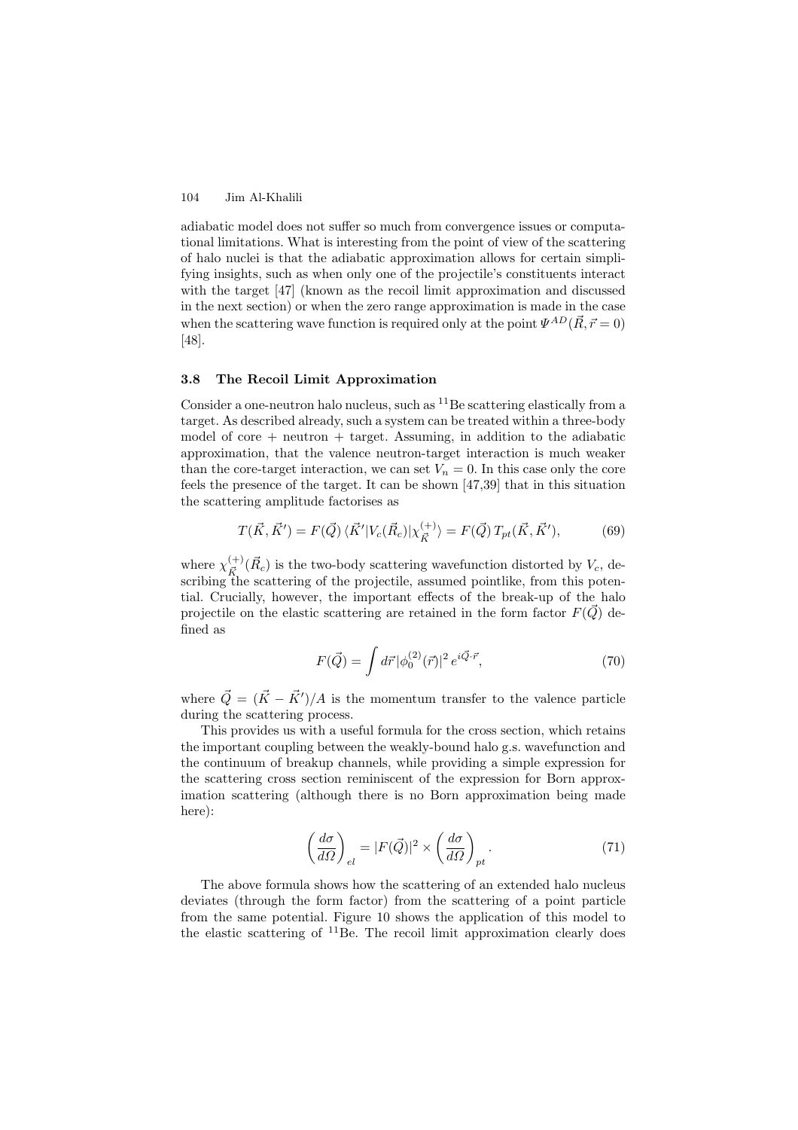adiabatic model does not suffer so much from convergence issues or computational limitations. What is interesting from the point of view of the scattering of halo nuclei is that the adiabatic approximation allows for certain simplifying insights, such as when only one of the projectile's constituents interact with the target [47] (known as the recoil limit approximation and discussed in the next section) or when the zero range approximation is made in the case when the scattering wave function is required only at the point  $\Psi^{AD}(\vec{R}, \vec{r}=0)$ [48].

### **3.8 The Recoil Limit Approximation**

Consider a one-neutron halo nucleus, such as  ${}^{11}$ Be scattering elastically from a target. As described already, such a system can be treated within a three-body model of core  $+$  neutron  $+$  target. Assuming, in addition to the adiabatic approximation, that the valence neutron-target interaction is much weaker than the core-target interaction, we can set  $V_n = 0$ . In this case only the core feels the presence of the target. It can be shown [47,39] that in this situation the scattering amplitude factorises as

$$
T(\vec{K}, \vec{K}') = F(\vec{Q}) \langle \vec{K}' | V_c(\vec{R}_c) | \chi_{\vec{K}}^{(+)} \rangle = F(\vec{Q}) T_{pt}(\vec{K}, \vec{K}'), \tag{69}
$$

where  $\chi_{\vec{K}}^{(+)}(\vec{R}_c)$  is the two-body scattering wavefunction distorted by  $V_c$ , describing the scattering of the projectile, assumed pointlike, from this potential. Crucially, however, the important effects of the break-up of the halo projectile on the elastic scattering are retained in the form factor  $F(Q)$  defined as

$$
F(\vec{Q}) = \int d\vec{r} \, |\phi_0^{(2)}(\vec{r})|^2 \, e^{i\vec{Q}\cdot\vec{r}},\tag{70}
$$

where  $\vec{Q} = (\vec{K} - \vec{K'})/A$  is the momentum transfer to the valence particle during the scattering process.

This provides us with a useful formula for the cross section, which retains the important coupling between the weakly-bound halo g.s. wavefunction and the continuum of breakup channels, while providing a simple expression for the scattering cross section reminiscent of the expression for Born approximation scattering (although there is no Born approximation being made here):

$$
\left(\frac{d\sigma}{d\Omega}\right)_{el} = |F(\vec{Q})|^2 \times \left(\frac{d\sigma}{d\Omega}\right)_{pt}.
$$
\n(71)

The above formula shows how the scattering of an extended halo nucleus deviates (through the form factor) from the scattering of a point particle from the same potential. Figure 10 shows the application of this model to the elastic scattering of  $^{11}$ Be. The recoil limit approximation clearly does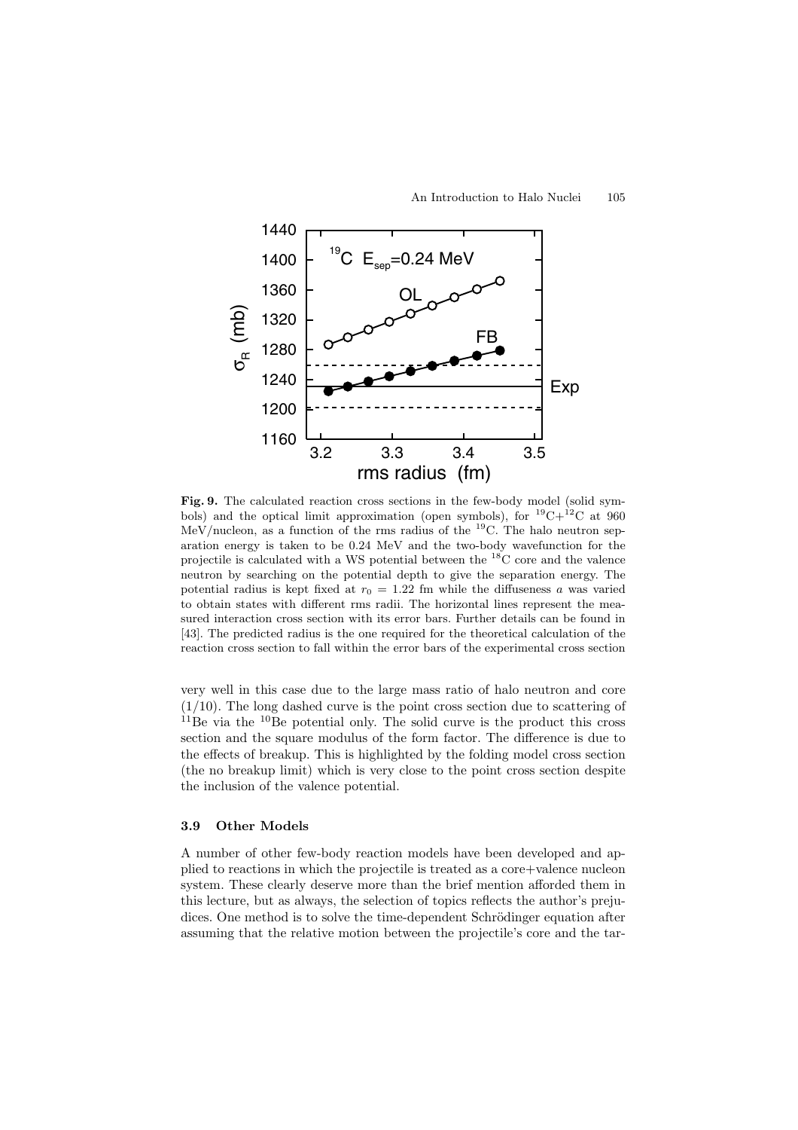

**Fig. 9.** The calculated reaction cross sections in the few-body model (solid symbols) and the optical limit approximation (open symbols), for  $^{19}C+^{12}C$  at 960  $MeV/nucleon$ , as a function of the rms radius of the  $^{19}$ C. The halo neutron separation energy is taken to be 0.24 MeV and the two-body wavefunction for the projectile is calculated with a WS potential between the  ${}^{18}$ C core and the valence neutron by searching on the potential depth to give the separation energy. The potential radius is kept fixed at  $r_0 = 1.22$  fm while the diffuseness a was varied to obtain states with different rms radii. The horizontal lines represent the measured interaction cross section with its error bars. Further details can be found in [43]. The predicted radius is the one required for the theoretical calculation of the reaction cross section to fall within the error bars of the experimental cross section

very well in this case due to the large mass ratio of halo neutron and core  $(1/10)$ . The long dashed curve is the point cross section due to scattering of  $11\text{Be}$  via the  $10\text{Be}$  potential only. The solid curve is the product this cross section and the square modulus of the form factor. The difference is due to the effects of breakup. This is highlighted by the folding model cross section (the no breakup limit) which is very close to the point cross section despite the inclusion of the valence potential.

#### **3.9 Other Models**

A number of other few-body reaction models have been developed and applied to reactions in which the projectile is treated as a core+valence nucleon system. These clearly deserve more than the brief mention afforded them in this lecture, but as always, the selection of topics reflects the author's prejudices. One method is to solve the time-dependent Schrödinger equation after assuming that the relative motion between the projectile's core and the tar-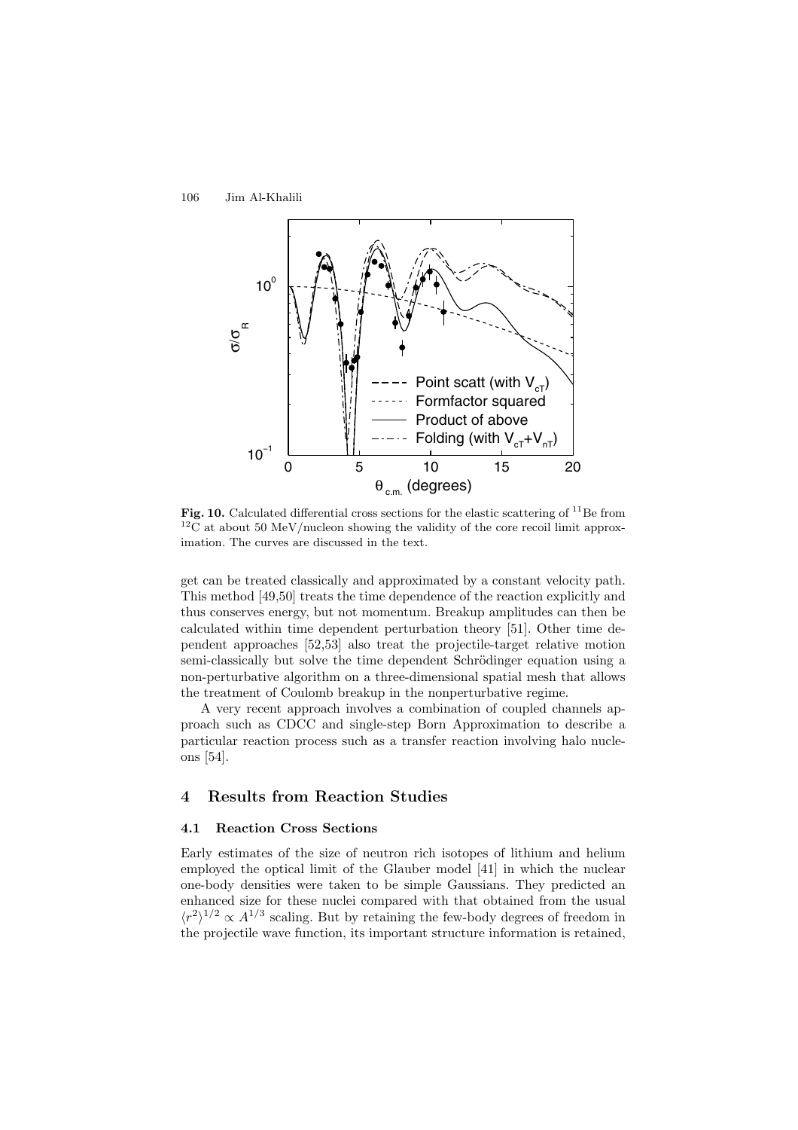

**Fig. 10.** Calculated differential cross sections for the elastic scattering of <sup>11</sup>Be from  $12^{\circ}$ C at about 50 MeV/nucleon showing the validity of the core recoil limit approximation. The curves are discussed in the text.

get can be treated classically and approximated by a constant velocity path. This method [49,50] treats the time dependence of the reaction explicitly and thus conserves energy, but not momentum. Breakup amplitudes can then be calculated within time dependent perturbation theory [51]. Other time dependent approaches [52,53] also treat the projectile-target relative motion semi-classically but solve the time dependent Schrödinger equation using a non-perturbative algorithm on a three-dimensional spatial mesh that allows the treatment of Coulomb breakup in the nonperturbative regime.

A very recent approach involves a combination of coupled channels approach such as CDCC and single-step Born Approximation to describe a particular reaction process such as a transfer reaction involving halo nucleons [54].

## **4 Results from Reaction Studies**

## **4.1 Reaction Cross Sections**

Early estimates of the size of neutron rich isotopes of lithium and helium employed the optical limit of the Glauber model [41] in which the nuclear one-body densities were taken to be simple Gaussians. They predicted an enhanced size for these nuclei compared with that obtained from the usual  $\langle r^2\rangle^{1/2}\propto A^{1/3}$  scaling. But by retaining the few-body degrees of freedom in the projectile wave function, its important structure information is retained,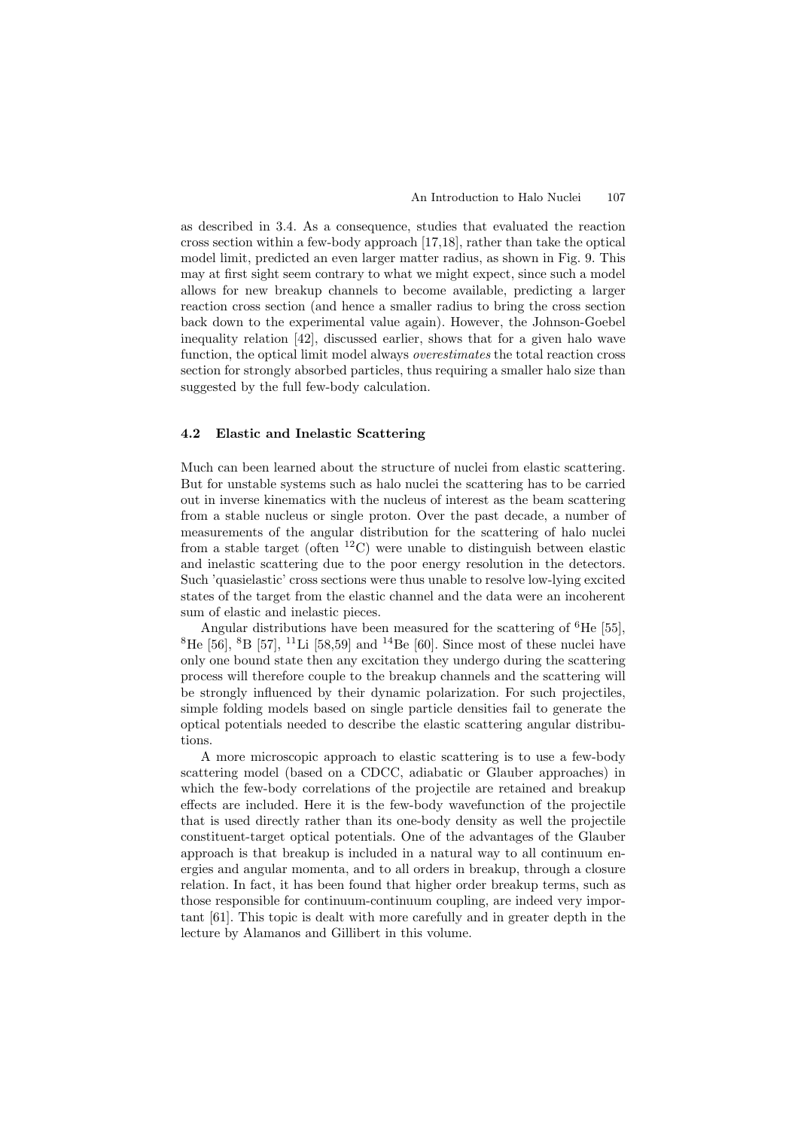as described in 3.4. As a consequence, studies that evaluated the reaction cross section within a few-body approach [17,18], rather than take the optical model limit, predicted an even larger matter radius, as shown in Fig. 9. This may at first sight seem contrary to what we might expect, since such a model allows for new breakup channels to become available, predicting a larger reaction cross section (and hence a smaller radius to bring the cross section back down to the experimental value again). However, the Johnson-Goebel inequality relation [42], discussed earlier, shows that for a given halo wave function, the optical limit model always *overestimates* the total reaction cross section for strongly absorbed particles, thus requiring a smaller halo size than suggested by the full few-body calculation.

#### **4.2 Elastic and Inelastic Scattering**

Much can been learned about the structure of nuclei from elastic scattering. But for unstable systems such as halo nuclei the scattering has to be carried out in inverse kinematics with the nucleus of interest as the beam scattering from a stable nucleus or single proton. Over the past decade, a number of measurements of the angular distribution for the scattering of halo nuclei from a stable target (often  ${}^{12}$ C) were unable to distinguish between elastic and inelastic scattering due to the poor energy resolution in the detectors. Such 'quasielastic' cross sections were thus unable to resolve low-lying excited states of the target from the elastic channel and the data were an incoherent sum of elastic and inelastic pieces.

Angular distributions have been measured for the scattering of  ${}^{6}$ He [55], <sup>8</sup>He [56], <sup>8</sup>B [57], <sup>11</sup>Li [58,59] and <sup>14</sup>Be [60]. Since most of these nuclei have only one bound state then any excitation they undergo during the scattering process will therefore couple to the breakup channels and the scattering will be strongly influenced by their dynamic polarization. For such projectiles, simple folding models based on single particle densities fail to generate the optical potentials needed to describe the elastic scattering angular distributions.

A more microscopic approach to elastic scattering is to use a few-body scattering model (based on a CDCC, adiabatic or Glauber approaches) in which the few-body correlations of the projectile are retained and breakup effects are included. Here it is the few-body wavefunction of the projectile that is used directly rather than its one-body density as well the projectile constituent-target optical potentials. One of the advantages of the Glauber approach is that breakup is included in a natural way to all continuum energies and angular momenta, and to all orders in breakup, through a closure relation. In fact, it has been found that higher order breakup terms, such as those responsible for continuum-continuum coupling, are indeed very important [61]. This topic is dealt with more carefully and in greater depth in the lecture by Alamanos and Gillibert in this volume.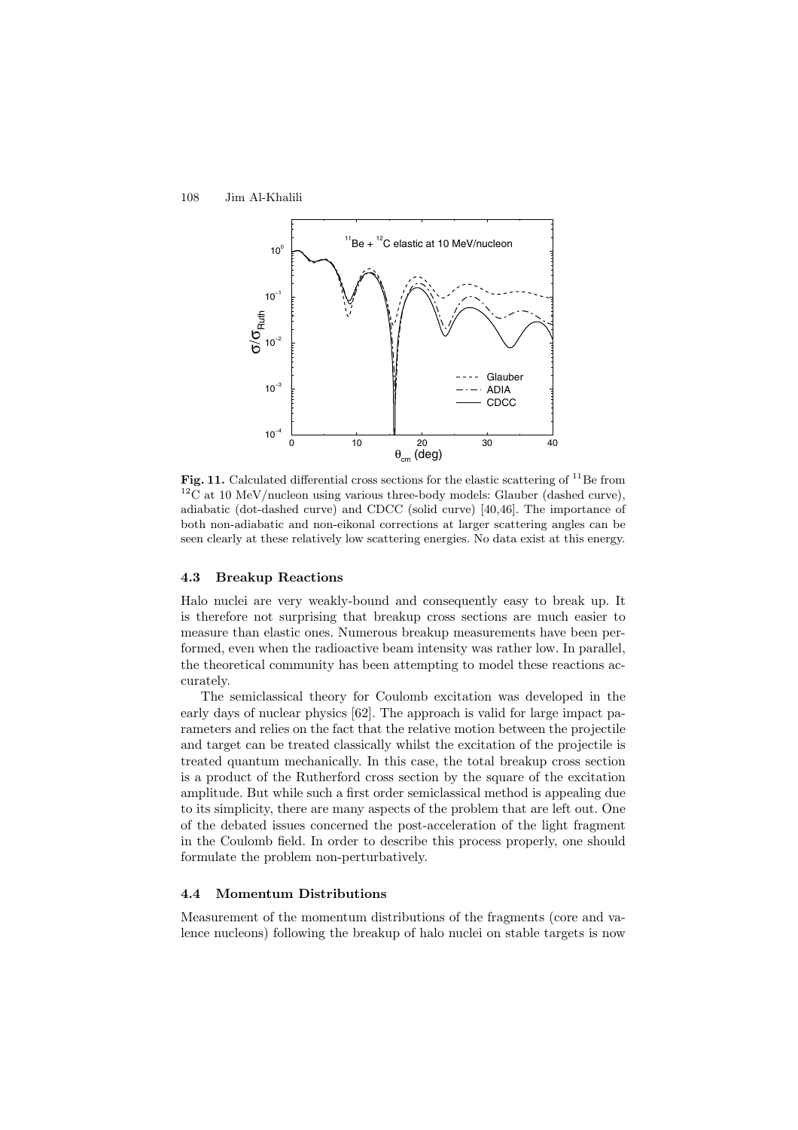

Fig. 11. Calculated differential cross sections for the elastic scattering of  $^{11}$ Be from  $12^{\circ}$ C at 10 MeV/nucleon using various three-body models: Glauber (dashed curve), adiabatic (dot-dashed curve) and CDCC (solid curve) [40,46]. The importance of both non-adiabatic and non-eikonal corrections at larger scattering angles can be seen clearly at these relatively low scattering energies. No data exist at this energy.

### **4.3 Breakup Reactions**

Halo nuclei are very weakly-bound and consequently easy to break up. It is therefore not surprising that breakup cross sections are much easier to measure than elastic ones. Numerous breakup measurements have been performed, even when the radioactive beam intensity was rather low. In parallel, the theoretical community has been attempting to model these reactions accurately.

The semiclassical theory for Coulomb excitation was developed in the early days of nuclear physics [62]. The approach is valid for large impact parameters and relies on the fact that the relative motion between the projectile and target can be treated classically whilst the excitation of the projectile is treated quantum mechanically. In this case, the total breakup cross section is a product of the Rutherford cross section by the square of the excitation amplitude. But while such a first order semiclassical method is appealing due to its simplicity, there are many aspects of the problem that are left out. One of the debated issues concerned the post-acceleration of the light fragment in the Coulomb field. In order to describe this process properly, one should formulate the problem non-perturbatively.

#### **4.4 Momentum Distributions**

Measurement of the momentum distributions of the fragments (core and valence nucleons) following the breakup of halo nuclei on stable targets is now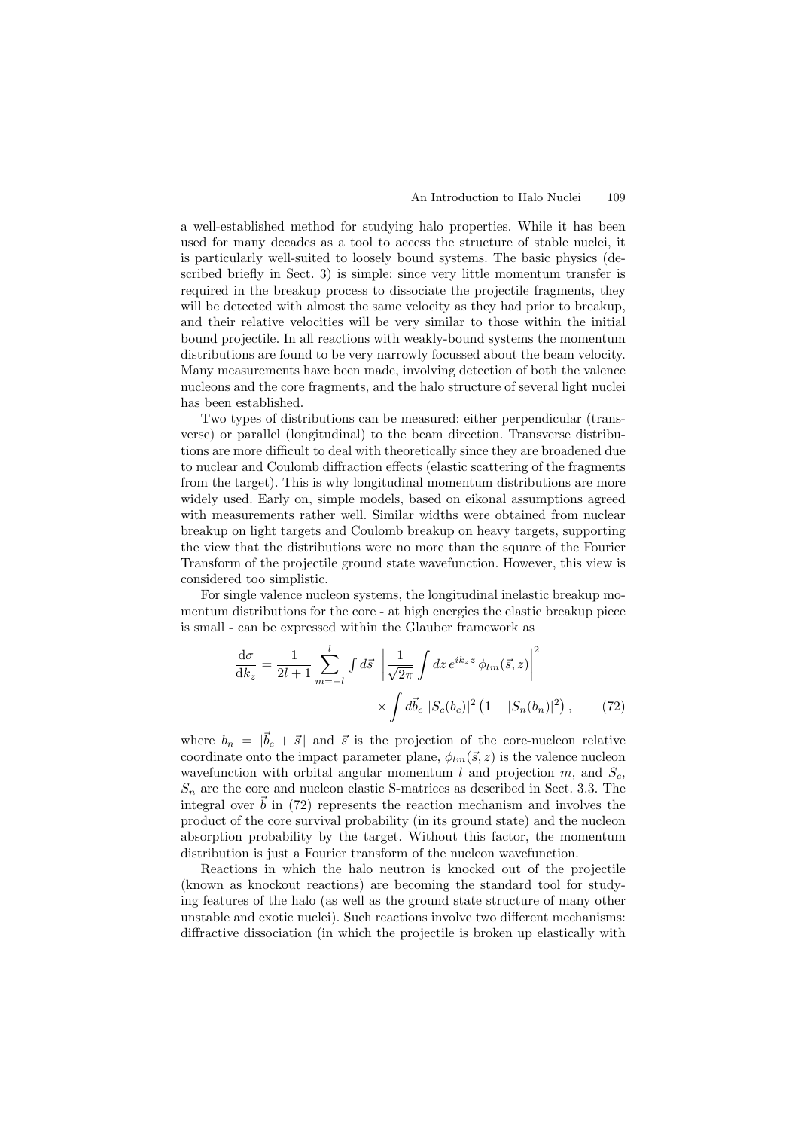a well-established method for studying halo properties. While it has been used for many decades as a tool to access the structure of stable nuclei, it is particularly well-suited to loosely bound systems. The basic physics (described briefly in Sect. 3) is simple: since very little momentum transfer is required in the breakup process to dissociate the projectile fragments, they will be detected with almost the same velocity as they had prior to breakup, and their relative velocities will be very similar to those within the initial bound projectile. In all reactions with weakly-bound systems the momentum distributions are found to be very narrowly focussed about the beam velocity. Many measurements have been made, involving detection of both the valence nucleons and the core fragments, and the halo structure of several light nuclei has been established.

Two types of distributions can be measured: either perpendicular (transverse) or parallel (longitudinal) to the beam direction. Transverse distributions are more difficult to deal with theoretically since they are broadened due to nuclear and Coulomb diffraction effects (elastic scattering of the fragments from the target). This is why longitudinal momentum distributions are more widely used. Early on, simple models, based on eikonal assumptions agreed with measurements rather well. Similar widths were obtained from nuclear breakup on light targets and Coulomb breakup on heavy targets, supporting the view that the distributions were no more than the square of the Fourier Transform of the projectile ground state wavefunction. However, this view is considered too simplistic.

For single valence nucleon systems, the longitudinal inelastic breakup momentum distributions for the core - at high energies the elastic breakup piece is small - can be expressed within the Glauber framework as

$$
\frac{d\sigma}{dk_z} = \frac{1}{2l+1} \sum_{m=-l}^{l} \int d\vec{s} \left| \frac{1}{\sqrt{2\pi}} \int dz \, e^{ik_z z} \, \phi_{lm}(\vec{s}, z) \right|^2 \times \int d\vec{b}_c \, |S_c(b_c)|^2 \left( 1 - |S_n(b_n)|^2 \right), \tag{72}
$$

where  $b_n = |\vec{b}_c + \vec{s}|$  and  $\vec{s}$  is the projection of the core-nucleon relative coordinate onto the impact parameter plane,  $\phi_{lm}(\vec{s}, z)$  is the valence nucleon wavefunction with orbital angular momentum l and projection  $m$ , and  $S_c$ ,  $S_n$  are the core and nucleon elastic S-matrices as described in Sect. 3.3. The integral over  $\vec{b}$  in (72) represents the reaction mechanism and involves the product of the core survival probability (in its ground state) and the nucleon absorption probability by the target. Without this factor, the momentum distribution is just a Fourier transform of the nucleon wavefunction.

Reactions in which the halo neutron is knocked out of the projectile (known as knockout reactions) are becoming the standard tool for studying features of the halo (as well as the ground state structure of many other unstable and exotic nuclei). Such reactions involve two different mechanisms: diffractive dissociation (in which the projectile is broken up elastically with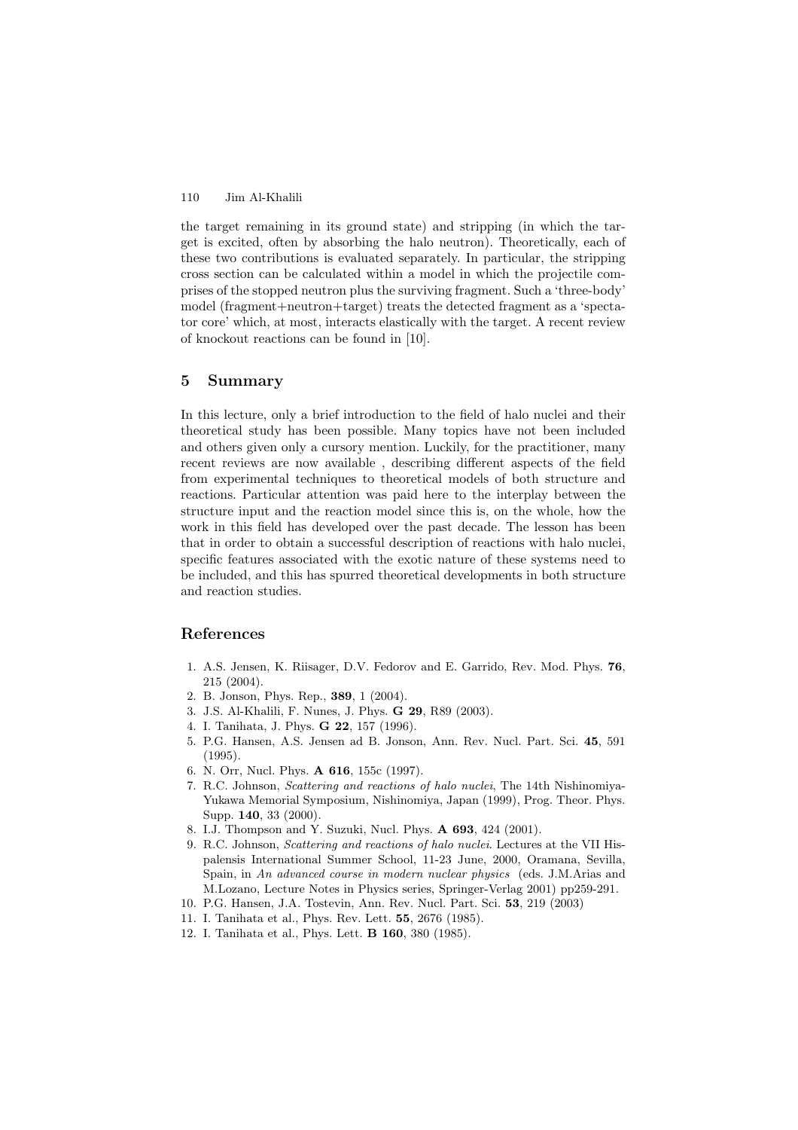the target remaining in its ground state) and stripping (in which the target is excited, often by absorbing the halo neutron). Theoretically, each of these two contributions is evaluated separately. In particular, the stripping cross section can be calculated within a model in which the projectile comprises of the stopped neutron plus the surviving fragment. Such a 'three-body' model (fragment+neutron+target) treats the detected fragment as a 'spectator core' which, at most, interacts elastically with the target. A recent review of knockout reactions can be found in [10].

## **5 Summary**

In this lecture, only a brief introduction to the field of halo nuclei and their theoretical study has been possible. Many topics have not been included and others given only a cursory mention. Luckily, for the practitioner, many recent reviews are now available , describing different aspects of the field from experimental techniques to theoretical models of both structure and reactions. Particular attention was paid here to the interplay between the structure input and the reaction model since this is, on the whole, how the work in this field has developed over the past decade. The lesson has been that in order to obtain a successful description of reactions with halo nuclei, specific features associated with the exotic nature of these systems need to be included, and this has spurred theoretical developments in both structure and reaction studies.

## **References**

- 1. A.S. Jensen, K. Riisager, D.V. Fedorov and E. Garrido, Rev. Mod. Phys. **76**, 215 (2004).
- 2. B. Jonson, Phys. Rep., **389**, 1 (2004).
- 3. J.S. Al-Khalili, F. Nunes, J. Phys. **G 29**, R89 (2003).
- 4. I. Tanihata, J. Phys. **G 22**, 157 (1996).
- 5. P.G. Hansen, A.S. Jensen ad B. Jonson, Ann. Rev. Nucl. Part. Sci. **45**, 591 (1995).
- 6. N. Orr, Nucl. Phys. **A 616**, 155c (1997).
- 7. R.C. Johnson, Scattering and reactions of halo nuclei, The 14th Nishinomiya-Yukawa Memorial Symposium, Nishinomiya, Japan (1999), Prog. Theor. Phys. Supp. **140**, 33 (2000).
- 8. I.J. Thompson and Y. Suzuki, Nucl. Phys. **A 693**, 424 (2001).
- 9. R.C. Johnson, Scattering and reactions of halo nuclei. Lectures at the VII Hispalensis International Summer School, 11-23 June, 2000, Oramana, Sevilla, Spain, in An advanced course in modern nuclear physics (eds. J.M.Arias and M.Lozano, Lecture Notes in Physics series, Springer-Verlag 2001) pp259-291.
- 10. P.G. Hansen, J.A. Tostevin, Ann. Rev. Nucl. Part. Sci. **53**, 219 (2003)
- 11. I. Tanihata et al., Phys. Rev. Lett. **55**, 2676 (1985).
- 12. I. Tanihata et al., Phys. Lett. **B 160**, 380 (1985).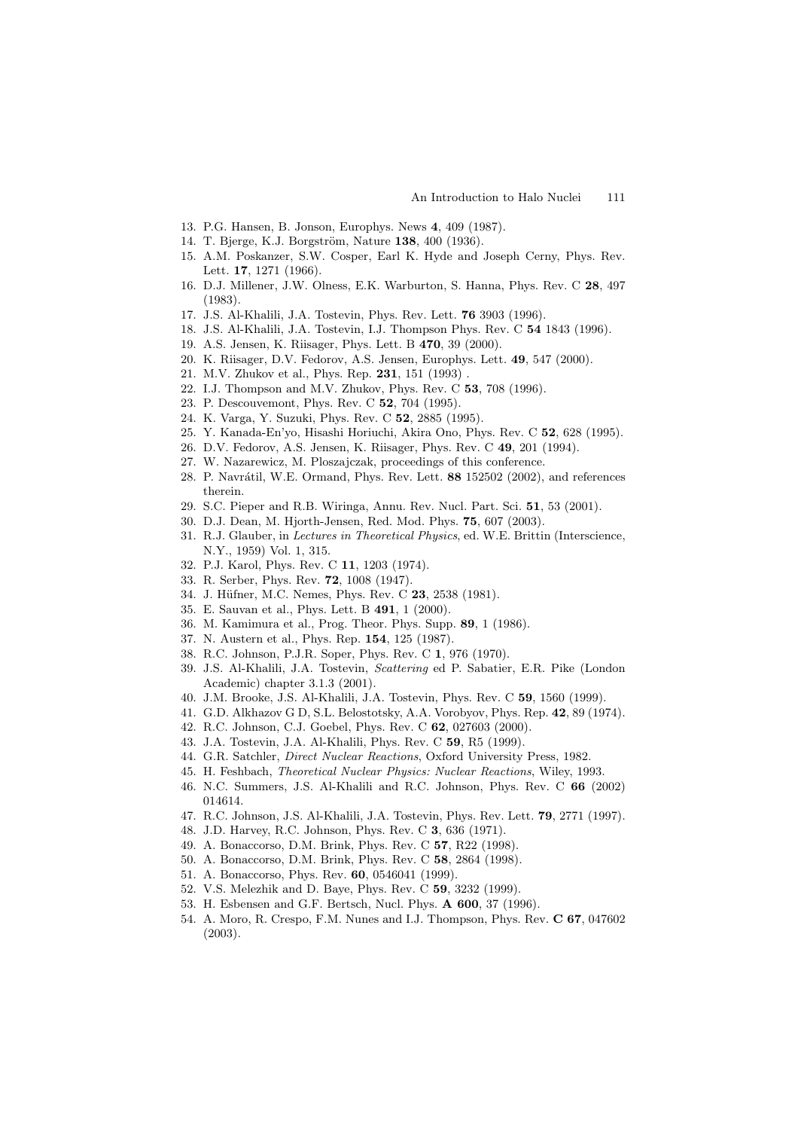- 13. P.G. Hansen, B. Jonson, Europhys. News **4**, 409 (1987).
- 14. T. Bjerge, K.J. Borgström, Nature 138, 400 (1936).
- 15. A.M. Poskanzer, S.W. Cosper, Earl K. Hyde and Joseph Cerny, Phys. Rev. Lett. **17**, 1271 (1966).
- 16. D.J. Millener, J.W. Olness, E.K. Warburton, S. Hanna, Phys. Rev. C **28**, 497 (1983).
- 17. J.S. Al-Khalili, J.A. Tostevin, Phys. Rev. Lett. **76** 3903 (1996).
- 18. J.S. Al-Khalili, J.A. Tostevin, I.J. Thompson Phys. Rev. C **54** 1843 (1996).
- 19. A.S. Jensen, K. Riisager, Phys. Lett. B **470**, 39 (2000).
- 20. K. Riisager, D.V. Fedorov, A.S. Jensen, Europhys. Lett. **49**, 547 (2000).
- 21. M.V. Zhukov et al., Phys. Rep. **231**, 151 (1993) .
- 22. I.J. Thompson and M.V. Zhukov, Phys. Rev. C **53**, 708 (1996).
- 23. P. Descouvemont, Phys. Rev. C **52**, 704 (1995).
- 24. K. Varga, Y. Suzuki, Phys. Rev. C **52**, 2885 (1995).
- 25. Y. Kanada-En'yo, Hisashi Horiuchi, Akira Ono, Phys. Rev. C **52**, 628 (1995).
- 26. D.V. Fedorov, A.S. Jensen, K. Riisager, Phys. Rev. C **49**, 201 (1994).
- 27. W. Nazarewicz, M. Ploszajczak, proceedings of this conference.
- 28. P. Navrátil, W.E. Ormand, Phys. Rev. Lett. **88** 152502 (2002), and references therein.
- 29. S.C. Pieper and R.B. Wiringa, Annu. Rev. Nucl. Part. Sci. **51**, 53 (2001).
- 30. D.J. Dean, M. Hjorth-Jensen, Red. Mod. Phys. **75**, 607 (2003).
- 31. R.J. Glauber, in Lectures in Theoretical Physics, ed. W.E. Brittin (Interscience, N.Y., 1959) Vol. 1, 315.
- 32. P.J. Karol, Phys. Rev. C **11**, 1203 (1974).
- 33. R. Serber, Phys. Rev. **72**, 1008 (1947).
- 34. J. H¨ufner, M.C. Nemes, Phys. Rev. C **23**, 2538 (1981).
- 35. E. Sauvan et al., Phys. Lett. B **491**, 1 (2000).
- 36. M. Kamimura et al., Prog. Theor. Phys. Supp. **89**, 1 (1986).
- 37. N. Austern et al., Phys. Rep. **154**, 125 (1987).
- 38. R.C. Johnson, P.J.R. Soper, Phys. Rev. C **1**, 976 (1970).
- 39. J.S. Al-Khalili, J.A. Tostevin, Scattering ed P. Sabatier, E.R. Pike (London Academic) chapter 3.1.3 (2001).
- 40. J.M. Brooke, J.S. Al-Khalili, J.A. Tostevin, Phys. Rev. C **59**, 1560 (1999).
- 41. G.D. Alkhazov G D, S.L. Belostotsky, A.A. Vorobyov, Phys. Rep. **42**, 89 (1974).
- 42. R.C. Johnson, C.J. Goebel, Phys. Rev. C **62**, 027603 (2000).
- 43. J.A. Tostevin, J.A. Al-Khalili, Phys. Rev. C **59**, R5 (1999).
- 44. G.R. Satchler, Direct Nuclear Reactions, Oxford University Press, 1982.
- 45. H. Feshbach, Theoretical Nuclear Physics: Nuclear Reactions, Wiley, 1993.
- 46. N.C. Summers, J.S. Al-Khalili and R.C. Johnson, Phys. Rev. C **66** (2002) 014614.
- 47. R.C. Johnson, J.S. Al-Khalili, J.A. Tostevin, Phys. Rev. Lett. **79**, 2771 (1997).
- 48. J.D. Harvey, R.C. Johnson, Phys. Rev. C **3**, 636 (1971).
- 49. A. Bonaccorso, D.M. Brink, Phys. Rev. C **57**, R22 (1998).
- 50. A. Bonaccorso, D.M. Brink, Phys. Rev. C **58**, 2864 (1998).
- 51. A. Bonaccorso, Phys. Rev. **60**, 0546041 (1999).
- 52. V.S. Melezhik and D. Baye, Phys. Rev. C **59**, 3232 (1999).
- 53. H. Esbensen and G.F. Bertsch, Nucl. Phys. **A 600**, 37 (1996).
- 54. A. Moro, R. Crespo, F.M. Nunes and I.J. Thompson, Phys. Rev. **C 67**, 047602 (2003).